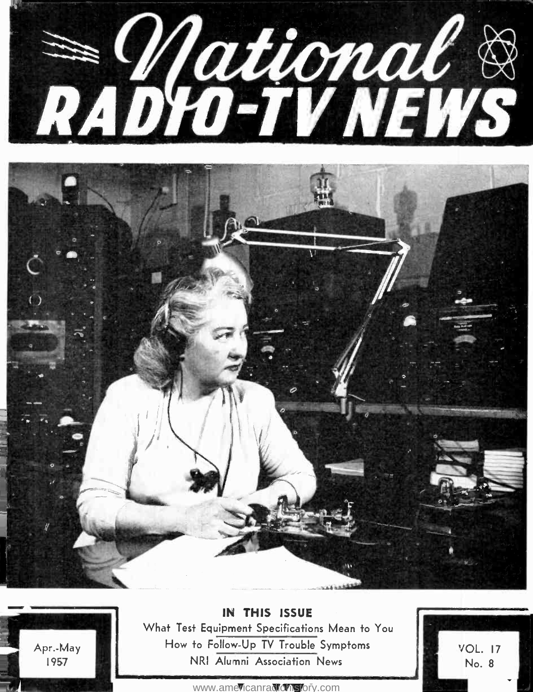





UN THIS ISSUE What Test Equipment Specifications Mean to You How to Follow-Up TV Trouble Symptoms NRI Alumni Association News

**VOL. 17** No. 8

<www.americanradiohistory.com>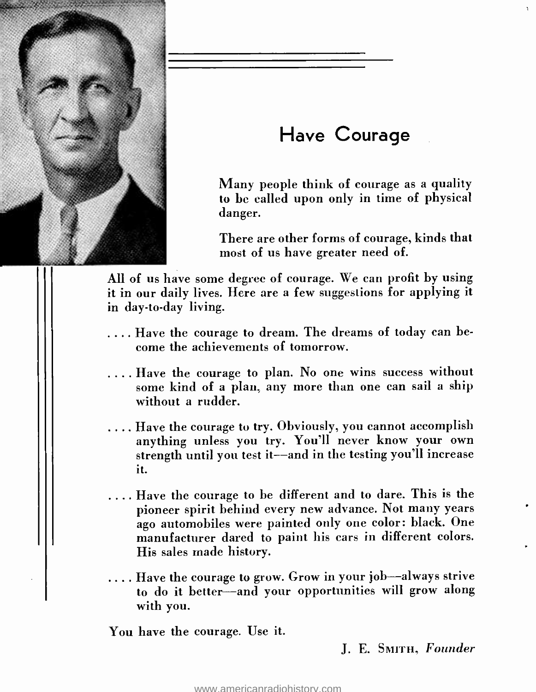

# Have Courage

Many people think of courage as a quality to be called upon only in time of physical danger.

There are other forms of courage, kinds that most of us have greater need of.

All of us have some degree of courage. We can profit by using it in our daily lives. Here are a few suggestions for applying it in day-to-day living.

- .... Have the courage to dream. The dreams of today can become the achievements of tomorrow.
- .... Have the courage to plan. No one wins success without some kind of a plan, any more than one can sail a ship without a rudder.
- .... Have the courage to try. Obviously, you cannot accomplish anything unless you try. You'll never know your own strength until you test it--and in the testing you'll increase it.
- .... Have the courage to be different and to dare. This is the pioneer spirit behind every new advance. Not many years ago automobiles were painted only one color: black. One manufacturer dared to paint his cars in different colors. His sales made history.
- .... Have the courage to grow. Grow in your job—always strive to do it better-and your opportunities will grow along with you.

You have the courage. Use it.

J. E. SMITH, Founder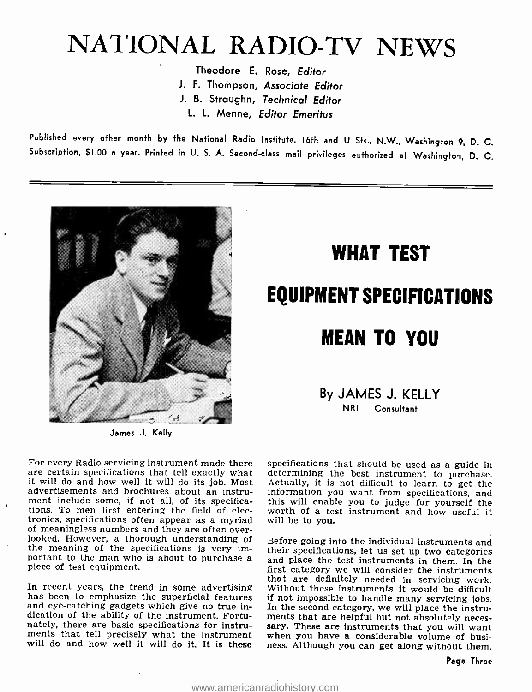# NATIONAL RADIO-TV NEWS

Theodore E. Rose, Editor J. F. Thompson, Associate Editor J. B. Straughn, Technical Editor L. L. Menne, Editor Emeritus

Published every other month by the National Radio Institute, 16th and U Sts., N.W., Washington 9, D. C. Subscription, \$1.00 a year. Printed in U. S. A. Second -class mail privileges authorized at Washington, D. C.



James J. Kelly

# WHAT TEST EQUIPMENT SPECIFICATIONS MEAN TO YOU

### By JAMES J. KELLY NRI Consultant

For every Radio servicing instrument made there specifications that should be used as a guide in<br>are certain specifications that tell exactly what determining the best instrument to purchase.<br>it will do and how well it wil it will do and how well it will do its job. Most advertisements and brochures about an instrument include some, if not all, of its specifications. To men first entering the field of electronics, specifications often appear as a myriad will be to you.<br>
of meaningless numbers and they are often over-<br>
looked. However, a thorough understanding of Before going into the individual instruments and the meaning of the specifications is very important to the man who is about to purchase a piece of test equipment.

In recent years, the trend in some advertising Without these instruments it would be difficult has been to emphasize the superficial features if not impossible to handle many servicing jobs, and eve-catching gadgets which and eye-catching gadgets which give no true indication of the ability of the instrument. Fortunately, there are basic specifications for instruments that tell precisely what the instrument when you have a considerable volume of busiwill do and how well it will do it. It is these

specifications that should be used as a guide in determining the best instrument to purchase. information you want from specifications, and this will enable you to judge for yourself the will be to you.

their specifications, let us set up two categories<br>and place the test instruments in them. In the<br>first category we will consider the instruments that are definitely needed in servicing work. Without these instruments it would be difficult if not impossible to handle many servicing jobs. In the second category, we will place the instrusary. These are instruments that you will want ness. Although you can get along without them,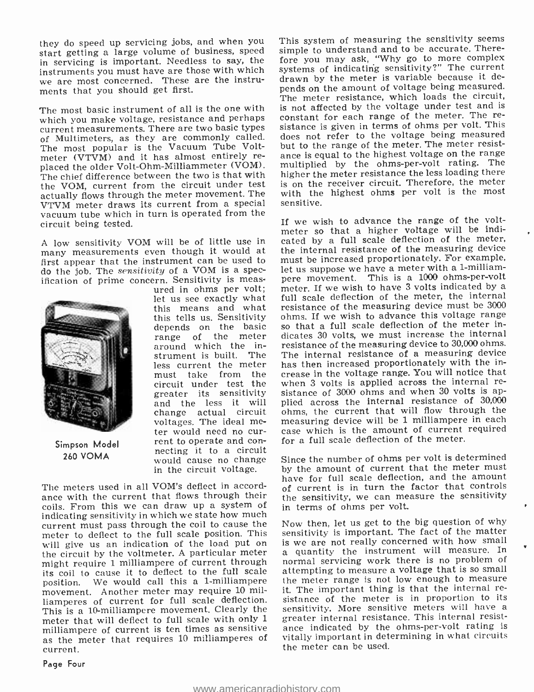they do speed up servicing jobs, and when you This system of measuring the sensitivity seems start getting a large volume of business, speed in servicing is important. Needless to say, the instruments you must have are those with which we are most concerned. These are the instruments that you should get first.

The most basic instrument of all is the one with is not affected by the voltage under test and is<br>which you make voltage, resistance and perhaps constant for each range of the meter. The rewhich you make voltage, resistance and perhaps current measurements. There are two basic types of Multimeters, as they are commonly called. The most popular is the Vacuum Tube Voltmeter (VTVM) and it has almost entirely re-<br>placed the older Volt-Ohm-Milliammeter (VOM). multiplied by the ohms-per-volt rating. The<br>placed the older Volt-Ohm-Milliammeter (VOM). multiplied by the ohms-per-volt rating. Th The chief difference between the two is that with the VOM, current from the circuit under test actually flows through the meter movement. The VTVM meter draws its current from a special vacuum tube which in turn is operated from the circuit being tested.

<sup>A</sup>low sensitivity VOM will be of little use in many measurements even though it would at first appear that the instrument can be used to do the job. The sensitivity of a VOM is a spec-



Simpson Model 260 VOMA

let us see exactly what this means and what depends on the basic range of the meter around which the inless current the meter circuit under test the greater its sensitivity and the less it will ter would need no cur-<br>rent to operate and con-<br>necting it to a circuit would cause no change in the circuit voltage.

The meters used in all VOM's deflect in accord- ance with the current that flows through their coils. From this we can draw up a system of indicating sensitivity in which we state how much current must pass through the coil to cause the meter to deflect to the full scale position. This sensitivity is important. The fact of the matter will give us an indication of the load put on is we are not really concerned with how small the circuit by the voltmeter. A particular meter might require 1 milliampere of current through its coil to cause it to deflect to the full scale position. We would call this a 1-milliampere the meter range is not low enough to measure movement. Another meter may require 10 mil-<br>t. The important thing is that the internal removement. Another meter may require 10 milliamperes of current for full scale deflection. This is a 10-milliampere movement. Clearly the sensitivity. More sensitive meters will have a meter that will deflect to full scale with only 1 greater internal resistance. This internal resistmilliampere of current is ten times as sensitive ance indicated by the ohms-per-volt rating is as the meter that requires 10 milliamperes of vitally important in determining in what circuits current.

simple to understand and to be accurate. Therefore you may ask, 'Why go to more complex systems of indicating sensitivity ?" The current drawn by the meter is variable because it depends on the amount of voltage being measured. The meter resistance, which loads the circuit, is not affected by the voltage under test and is sistance is given in terms of ohms per volt. This does not refer to the voltage being measured but to the range of the meter. The meter resistmultiplied by the ohms-per-volt rating. The higher the meter resistance the less loading there is on the receiver circuit. Therefore, the meter with the highest ohms per volt is the most sensitive.

ification of prime concern. Sensitivity is meas-<br>ured in ohms per volt; meter. If we wish to have 3 volts indicated by a<br> this tells us. Sensitivity ohms. If we wish to advance this voltage range<br>depends, on, the basic so that a full scale deflection of the meter instrument is built. The The internal resistance of a measuring device<br>less current the meter has then increased proportionately with the inmust take from the crease in the voltage range. You will notice that e-<br>circuit under test the when 3 volts is applied across the internal rechange actual circuit ohms, the current that will flow through the voltages. The ideal me- measuring device will be 1 milliampere in each If we wish to advance the range of the voltmeter so that a higher voltage will be indicated by a full scale deflection of the meter, the internal resistance of the measuring device must be increased proportionately. For example, let us suppose we have a meter with a 1-milliampere movement. This is a 1000 ohms-per-volt full scale deflection of the meter, the internal resistance of the measuring device must be <sup>3000</sup> ohms. If we wish to advance this voltage range dicates 30 volts, we must increase the internal resistance of the measuring device to 30,000 ohms. The internal resistance of a measuring device crease in the voltage range. You will notice that sistance of 3000 ohms and when 30 volts is applied across the internal resistance of 30,000 ohms, the current that will flow through the case which is the amount of current required for a full scale deflection of the meter.

> Since the number of ohms per volt is determined by the amount of current that the meter must have for full scale deflection, and the amount of current is in turn the factor that controls the sensitivity, we can measure the sensitivity in terms of ohms per volt.

> Now then, let us get to the big question of why sensitivity is important. The fact of the matter a quantity the instrument will measure. In normal servicing work there is no problem of attempting to measure a voltage that is so small the meter range is not low enough to measure sistance of the meter is in proportion to its sensitivity. More sensitive meters will have a vitally important in determining in what circuits the meter can be used.

Page Four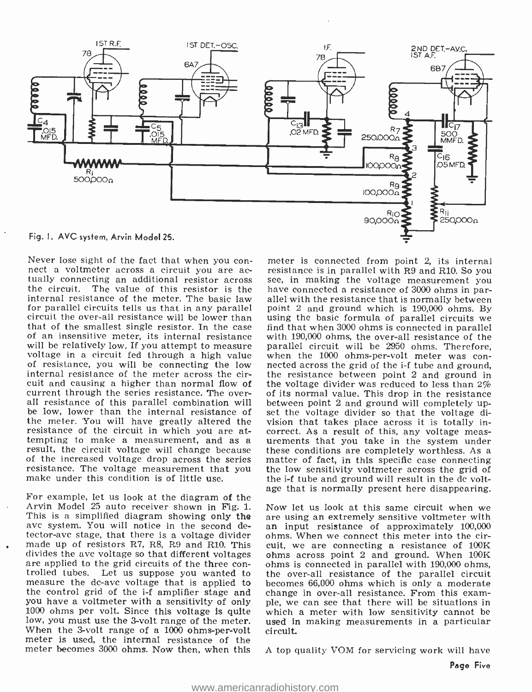

internal resistance of the meter. The basic law allel with the resistance that is normally between<br>for parallel circuits tells us that in any parallel point 2 and ground which is 190,000 ohms. By for parallel circuits tells us that in any parallel point 2 and ground which is 190,000 ohms. By circuit the over-all resistance will be lower than using the basic formula of parallel circuits we that of the smallest sing of an insensitive meter, its internal resistance with  $190,000$  ohms, the over-all resistance of the will be relatively low. If you attempt to measure parallel circuit will be 2950 ohms. Therefore, voltage in a circuit fed through a high value when the 1000 ohms-per-volt meter was convoltage in a circuit fed through a high value when the 1000 ohms-per-volt meter was con-<br>of resistance, you will be connecting the low nected across the grid of the i-f tube and ground, of resistance, you will be connecting the low nected across the grid of the i-f tube and ground, internal resistance of the meter across the cir-<br>the resistance of the meter across the cirinternal resistance of the meter across the circuit and causing a higher than normal flow of current through the series resistance. The over- all resistance of this parallel combination will be low, lower than the internal resistance of the meter. You will have greatly altered the vision that takes place across it is totally in-<br>resistance of the circuit in which you are at-<br>correct. As a result of this, any voltage measresistance of the circuit in which you are at-<br>tempting to make a measurement, and as a result, the circuit voltage will change because these conditions are completely worthless. As a<br>of the increased voltage drop across the series matter of fact, in this specific case connecting of the increased voltage drop across the series resistance. The voltage measurement that you make under this condition is of little use.

For example, let us look at the diagram of the Arvin Model 25 auto receiver shown in Fig. 1. This is a simplified diagram showing only the avc system. You will notice in the second detector -ave stage, that there is a voltage divider made up of resistors R7, R8, R9 and R10. This divides the ave voltage so that different voltages are applied to the grid circuits of the three con- trolled tubes. Let us suppose you wanted to measure the dc-avc voltage that is applied to the control grid of the i-f amplifier stage and you have a voltmeter with a sensitivity of only ple, we can see that there will be situations in 1000 ohms per volt. Since this voltage is quite which a meter with low sensitivity cannot be low, you must use the 3-volt range of the meter. used in When the 3-volt range of a 1000 ohms-per-volt circuit. When the 3-volt range of a 1000 ohms-per-volt meter is used, the internal resistance of the meter becomes 3000 ohms. Now then, when this

Never lose sight of the fact that when you con-<br>nect a voltmeter across a circuit you are ac-<br>resistance is in parallel with R9 and R10. So you<br>tually connecting an additional resistor across see, in making the voltage mea meter is connected from point 2, its internal resistance is in parallel with R9 and R10. So you allel with the resistance that is normally between find that when 3000 ohms is connected in parallel parallel circuit will be 2950 ohms. Therefore, the voltage divider was reduced to less than 2% of its normal value. This drop in the resistance between point 2 and ground will completely upset the voltage divider so that the voltage division that takes place across it is totally inurements that you take in the system under the low sensitivity voltmeter across the grid of the i-f tube and ground will result in the de voltage that is normally present here disappearing.

> Now let us look at this same circuit when we are using an extremely sensitive voltmeter with an input resistance of approximately 100,000 ohms. When we connect this meter into the circuit, we are connecting a resistance of 100K ohms across point 2 and ground. When 100K ohms is connected in parallel with 190,000 ohms, the over -all resistance of the parallel circuit becomes 66,000 ohms which is only a moderate change in over-all resistance. From this examwhich a meter with low sensitivity cannot be used in making measurements in a particular

A top quality VOM for servicing work will have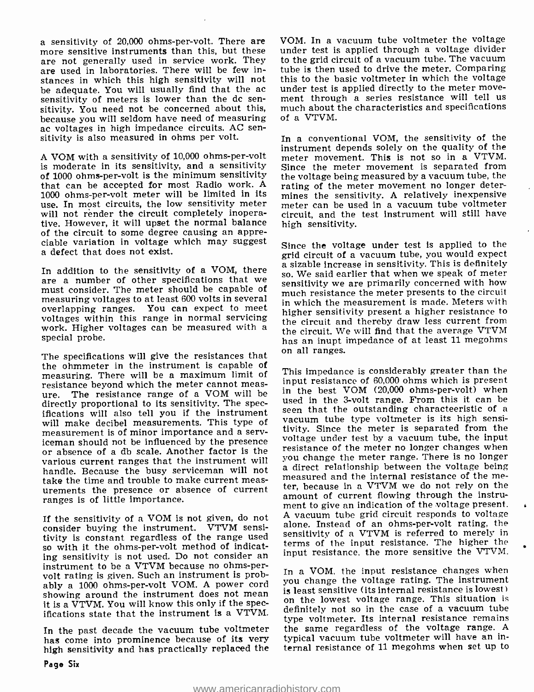a sensitivity of 20,000 ohms-per-volt. There are more sensitive instruments than this, but these are not generally used in service work. They to the grid circuit of a vacuum tube. The vacuum<br>are used in laboratories. There will be few in- tube is then used to drive the meter. Comparing are used in laboratories. There will be few instances in which this high sensitivity will not sensitivity of meters is lower than the dc sen- ment through a series resistance will tell us sitivity. You need not be concerned about this, much about the characteristics and specifications because you will seldom have need of measuring ac voltages in high impedance circuits. AC sen- sitivity is also measured in ohms per volt.

A VOM with a sensitivity of 10,000 ohms-per-volt is moderate in its sensitivity, and a sensitivity of 1000 ohms -per -volt is the minimum sensitivity that can be accepted for most Radio work. <sup>A</sup> 1000 ohms-per-volt meter will be limited in its use. In most circuits, the low sensitivity meter will not render the circuit completely inoperative. However, it will upset the normal balance of the circuit to some degree causing an appreciable variation in voltage which may suggest a defect that does not exist.

must consider. The meter should be capable of measuring voltages to at least 600 volts in several overlapping ranges. You can expect to meet voltages within this range in normal servicing work. Higher voltages can be measured with a special probe.

The specifications will give the resistances that on all ranges. the ohmmeter in the instrument is capable of measuring. There will be a maximum limit of resistance beyond which the meter cannot measure. The resistance range of a VOM will be. In the pest volumed can non-per-volume when<br>directly proportional to its sensitivity. The spec- used in the 3-volt range. From this it can be directly proportional to its sensitivity. The specifications will also tell you if the instrument seen that the outstanding characteristic of a will make decibel measurements. This type of measurement is of minor importance and a serviceman should not be influenced by the presence<br>or absence of a db scale. Another factor is the resistance of the meter no longer changes when<br>you change the meter range. There is no longer various current ranges that the instrument will handle. Because the busy serviceman will not take the time and trouble to make current meastake the time and trouble to make current meas-<br>urements the presence or absence of current ter, because in a VTVM we do not rely on the ranges is of little importance.

If the sensitivity of a VOM is not given, do not consider buying the instrument. VTVM sensitivity is constant regardless of the range used so with it the ohms -per -volt method of indicating sensitivity is not used. Do not consider an instrument to be a VTVM because no ohms -pervolt rating is given. Such an instrument is probably a 1000 ohms-per-volt VOM. A power cord you change the voltage rating. The instrument showing around the instrument does not mean it is a VTVM. You will know this only if the specifications state that the instrument is a VTVM.

In the past decade the vacuum tube voltmeter has come into prominence because of its very high sensitivity and has practically replaced the VOM. In a vacuum tube voltmeter the voltage under test is applied through a voltage divider to the grid circuit of a vacuum tube. The vacuum this to the basic voltmeter in which the voltage under test is applied directly to the meter moveof a VTVM.

In a conventional VOM, the sensitivity of the instrument depends solely on the quality of the meter movement. This is not so in a VTVM. Since the meter movement is separated from the voltage being measured by a vacuum tube, the rating of the meter movement no longer determines the sensitivity. A relatively inexpensive meter can be used in a vacuum tube voltmeter circuit, and the test instrument will still have high sensitivity.

In addition to the sensitivity of a VOM, there a sizable increase in sensitivity. This is definitely<br>are a number of other specifications that we songitivity we are primarily concerned with how Since the voltage under test is applied to the grid circuit of a vacuum tube, you would expect sensitivity we are primarily concerned with how much resistance the meter presents to the circuit in which the measurement is made. Meters with higher sensitivity present a higher resistance to the circuit and thereby draw less current from the circuit. We will find that the average VTVM has an inupt impedance of at least 11 megohms

> This impedance is considerably greater than the input resistance of 60,000 ohms which is present in the best VOM (20,000 ohms-per-volt) when seen that the outstanding characteeristic of a tivity. Since the meter is separated from the voltage under test by a vacuum tube, the input resistance of the meter no longer changes when a direct relationship between the voltage being measured and the internal resistance of the meamount of current flowing through the instrument to give an indication of the voltage present. A vacuum tube grid circuit responds to voltage alone. Instead of an ohms-per-volt rating, the sensitivity of a VTVM is referred to merely in terms of the input resistance. The higher the input resistance, the more sensitive the VTVM.

> In a VOM, the input resistance changes when you change the voltage rating. The instrument on the lowest voltage range. This situation is definitely not so in the case of a vacuum tube type voltmeter. Its internal resistance remains the same regardless of the voltage range. <sup>A</sup> typical vacuum tube voltmeter will have an internal resistance of 11 megohms when set up to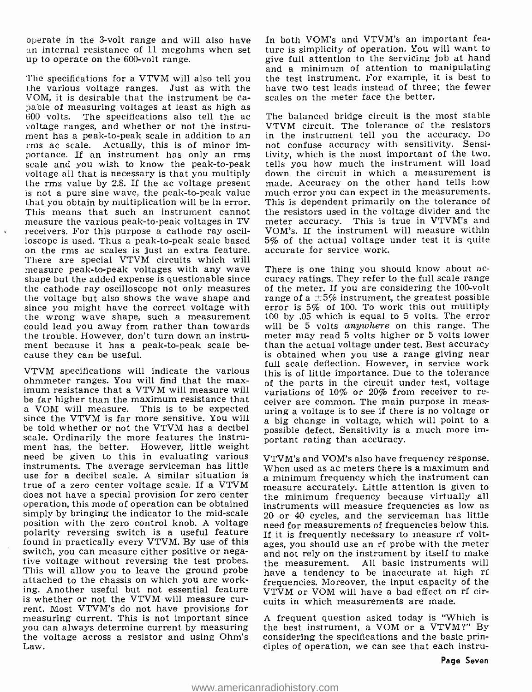operate in the 3 -volt range and will also have an internal resistance of 11 megohms when set up to operate on the 600-volt range.

The specifications for a VTVM will also tell you the various voltage ranges. Just as with the VOM, it is desirable that the instrument be ca-<br>pable of measuring voltages at least as high as<br>600 volts. The specifications also tell the ac<br>voltage ranges, and whether or not the instrument has a peak-to-peak scale in addition to an rms ac scale. Actually, this is of minor im-<br>portance. If an instrument has only an rms scale and you wish to know the peak-to-peak voltage all that is necessary is that you multiply the rms value by 2.8. If the ac voltage present is not a pure sine wave, the peak-to-peak value that you obtain by multiplication will be in error. This means that such an instrument cannot measure the various peak-to-peak voltages in TV receivers. For this purpose a cathode ray oscilloscope is used. Thus a peak -to -peak scale based on the rms ac scales is just an extra feature. There are special VTVM circuits which will measure peak-to-peak voltages with any wave There is one thing you should know about ac-<br>shape but the added expense is questionable since curacy ratings. They refer to the full scale range the cathode ray oscilloscope not only measures the voltage but also shows the wave shape and since you might have the correct voltage with the wrong wave shape, such a measurement could lead you away from rather than towards the trouble. However, don't turn down an instrument because it has a peak-to-peak scale be-<br>cause they can be useful.

VTVM specifications will indicate the various ohmmeter ranges. You will find that the max-<br>imum resistance that a VTVM will measure will variations of 10% or 20% from receiver to re-<br>be far higher than the maximum resistance that equiper are common. The main purpose be far higher than the maximum resistance that ceiver are common. The main purpose in meas-<br>a VOM will measure. This is to be expected uring a voltage is to see if there is no voltage or<br>since the VTVM is far more sensitiv since the VTVM is far more sensitive. You will be told whether or not the VTVM has a decibel scale. Ordinarily the more features the instru-<br>ment has, the better. However, little weight need be given to this in evaluating various instruments. The average serviceman has little  $\frac{V}{W}$  when used as ac meters there is a maximum and use for a decibel scale. A similar situation is a minimum frequency which the instrument can true of a zero center voltage scale. If a VTVM measure accurately. Little attention is given to does not have a special provision for zero center operation, this mode of operation can be obtained simply by bringing the indicator to the mid-scale  $20$  or 40 cycles, and the serviceman has little position with the zero control knob. A voltage need for measurements of frequencies below this. polarity reversing switch is a useful feature found in practically every VTVM. By use of this switch, you can measure either positive or negative voltage without reversing the test probes. This will allow you to leave the ground probe attached to the chassis on which you are working. Another useful but not essential feature<br>is whether or not the VTVM will measure current. Most VTVM's do not have provisions for measuring current. This is not important since you can always determine current by measuring the voltage across a resistor and using Ohm's Law.

In both VOM's and VTVM's an important feature is simplicity of operation. You will want to give full attention to the servicing job at hand and a minimum of attention to manipulating the test instrument. For example, it is best to have two test leads instead of three; the fewer scales on the meter face the better.

The balanced bridge circuit is the most stable VTVM circuit. The tolerance of the resistors in the instrument tell you the accuracy. Do not confuse accuracy with sensitivity. Sensitivity, which is the most important of the two, tells you how much the instrument will load down the circuit in which a measurement is made. Accuracy on the other hand tells how much error you can expect in the measurements. This is dependent primarily on the tolerance of the resistors used in the voltage divider and the meter accuracy. This is true in VTVM's and VOM's. If the instrument will measure within 5% of the actual voltage under test it is quite accurate for service work.

There is one thing you should know about acof the meter. If you are considering the 100-volt range of a  $\pm 5\%$  instrument, the greatest possible error is 5% of 100. To work this out multiply 100 by .05 which is equal to 5 volts. The error will be 5 volts *anywhere* on this range. The meter may read 5 volts higher or 5 volts lower than the actual voltage under test. Best accuracy is obtained when you use a range giving near full scale deflection. However, in service work this is of little importance. Due to the tolerance possible defect. Sensitivity is a much more important rating than accuracy.

VTVM's and VOM's also have frequency response. When used as ac meters there is a maximum and the minimum frequency because virtually all instruments will measure frequencies as low as need for measurements of frequencies below this. If it is frequently necessary to measure rf voltages, you should use an rf probe with the meter and not rely on the instrument by itself to make the measurement. All basic instruments will have a tendency to be inaccurate at high rf frequencies. Moreover, the input capacity of the VTVM or VOM will have a bad effect on rf circuits in which measurements are made.

A frequent question asked today is "Which is the best instrument, a VOM or a VTVM ?" By considering the specifications and the basic principles of operation, we can see that each instru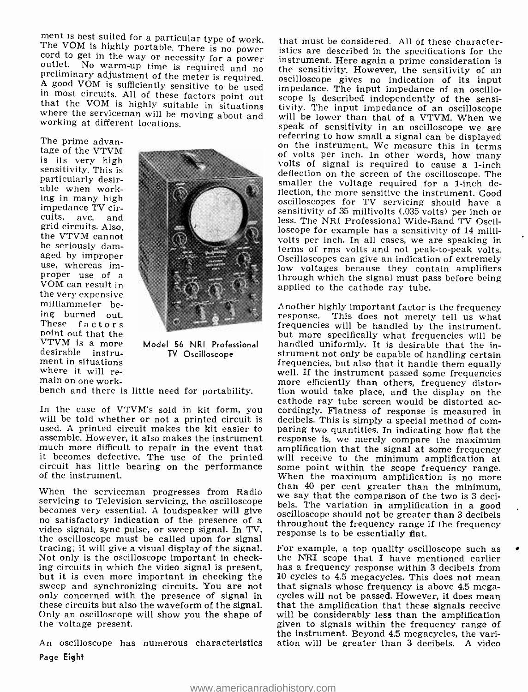ment is best suited for a particular type of work.<br>The VOM is highly portable. There is no power<br>cord to get in the way or necessity for a power<br>outlet. No warm-up time is required and no<br>preliminary adjustment of the mete

The prime advantage of the VTVM is its very high sensitivity. This is particularly desirable when work-<br>ing in many high impedance TV cir-<br>cuits, avc. and and grid circuits. Also, the VTVM cannot be seriously damaged by improper use, whereas im-<br>proper use of a VOM can result in the very expensive milliammeter being burned out. These factors point out that the<br>VTVM is a more desirable instrument in situations where it will re-<br>main on one work-



Model 56 NRI Professional TV Oscilloscope

used. A printed circuit makes the kit easier to assemble. However, it also makes the instrument much more difficult to repair in the event that amplification that the signal at some frequency<br>it becomes defective. The use of the printed will receive to the minimum amplification at it becomes defective. The use of the printed circuit has little bearing on the performance of the instrument.

servicing to Television servicing, the oscilloscope bels. The variation in amplification in a good<br>becomes very essential. A loudspeaker will give  $\frac{1}{\frac{1}{\sqrt{2}}}$  oscilloscope should not be greater than 3 decibels<br>no sa the oscilloscope must be called upon for signal tracing; it will give a visual display of the signal. Not only is the oscilloscope important in check-Not only is the oscilloscope important in check-<br>ing circuits in which the video signal is present, has a frequency response within 3 decibels from<br>but it is even more important in checking the  $10$  cycles to 4.5 megacycl sweep and synchronizing circuits. You are not that signals whose frequency is above 4.5 mega-<br>only concerned with the presence of signal in cycles will not be passed. However, it does mean only concerned with the presence of signal in cycles will not be passed. However, it does mean these circuits but also the waveform of the signal. that the amplification that these signals receive Only an oscilloscope will show you the shape of will be considerably less than the amplification the voltage present. the voltage present.

An oscilloscope has numerous characteristics Page Eight

that must be considered. All of these characteristics are described in the specifications for the instrument. Here again a prime consideration is<br>the sensitivity. However, the sensitivity of an oscilloscope gives no indication of its input<br>impedance. The input impedance of an oscilloscope is described independently of the sensitivity. The input impedance of an oscilloscope<br>will be lower than that of a VTVM. When we<br>speak of sensitivity in an oscilloscope we are<br>referring to how small a signal can be displayed<br>on the instrument. We measure this i of volts per inch. In other words, how many volts of signal is required to cause a 1 -inch deflection on the screen of the oscilloscope. The smaller the voltage required for a 1-inch deflection, the more sensitive the instrument. Good<br>oscilloscopes for TV servicing should have a sensitivity of 35 millivolts (.035 volts) per inch or less. The NRI Professional Wide-Band TV Oscilloscope for example has a sensitivity of 14 millivolts per inch. In all cases, we are speaking in terms of rms volts and not peak-to-peak volts. Oscilloscopes can give an indication of extremely low voltages because they contain amplifiers through which the signal must pass before being applied to the cathode ray tube.

main on one work-<br>bench and there is little need for portability, the would take place, and the display on the cathode ray tube screen would be distorted ac-<br>In the case of VTVM's sold in kit form, you cordingly. Flatness of response is measured in<br>will be told whether or not a printed circuit is decibels. This is simply a special When the serviceman progresses from Radio than 40 per cent greater than the minimum,<br>servicing to Television servicing, the oscilloscope hole The waite the comparison of the two is 3 deci-Another highly important factor is the frequency response. This does not merely tell us what<br>frequencies will be handled by the instrument, but more specifically what frequencies will be handled uniformly. It is desirable that the instrument not only be capable of handling certain<br>frequencies, but also that it handle them equally well. If the instrument passed some frequencies tion would take place, and the display on the cordingly. Flatness of response is measured in decibels. This is simply a special method of comresponse is, we merely compare the maximum amplification that the signal at some frequency<br>will receive to the minimum amplification at<br>some point within the scope frequency range.<br>When the maximum amplification is no more oscilloscope should not be greater than 3 decibels throughout the frequency range if the frequency response is to be essentially flat.

> For example, a top quality oscilloscope such as has a frequency response within 3 decibels from 10 cycles to 4.5 megacycles. This does not mean will be considerably less than the amplification the instrument. Beyond 4.5 megacycles, the variation will be greater than 3 decibels. A video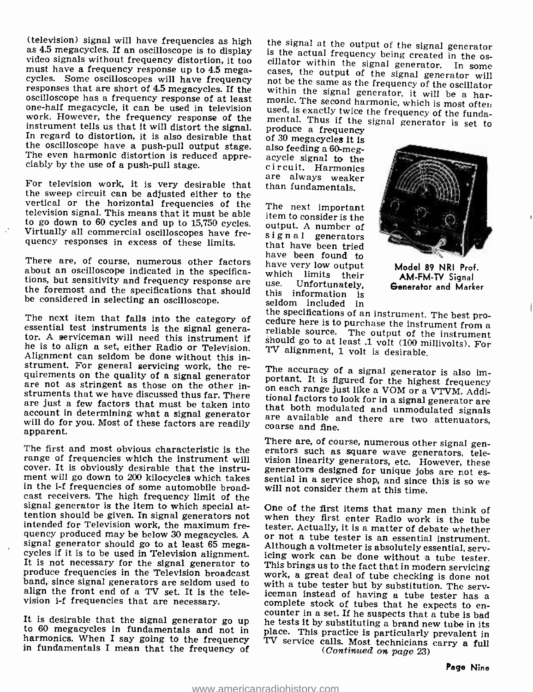(television) signal will have frequencies as high the signal at the output of the signal generator as 4.5 megacycles. If an oscilloscope is to display is the actual frequency being created in the os-<br>video signals without cycles. Some oscilloscopes will have frequency not be the same as the frequency of the oscillator responses that are short of 4.5 megacycles. If the within the signal generator, it will be a harresponses that are short of 4.5 megacycles. If the within the signal generator, it will be a har-<br>oscilloscope has a frequency response of at least monic. The second harmonic, which is most often one-half megacycle, it can be used in television<br>work. However, the frequency response of the mental. Thus if the signal generator is set to work. However, the frequency response of the instrument tells us that it will distort the signal. In produce a frequency In regard to distortion, it is also desirable that of 30 megacycles it is the oscilloscope have a pus the oscilloscope have a push -pull output stage. The even harmonic distortion is reduced appre- ciably by the use of a push -pull stage.

For television work, it is very desirable that than fundamentals. the sweep circuit can be adjusted either to the vertical or the horizontal frequencies of the television signal. This means that it must be able<br>to go down to 60 cycles and up to 15.750 cycles.  $\frac{1}{2}$  authur A number of Virtually all commercial oscilloscopes have frequency responses in excess of these limits.

There are, of course, numerous other factors about an oscilloscope indicated in the specifica-<br>tions, but sensitivity and frequency response are use. Unfortunately,<br>the foremost and the specifications that should this information is be considered in selecting an oscilloscope.

he is to align a set, either Radio or Television. Alignment can seldom be done without this instrument. For general servicing work, the re-<br>quirements on the quality of a signal generator<br>portant. It is figured for the highest frequency are not as stringent as those on the other instruments that we have discussed thus far. There tional factors to look for in a signal generator are are just a few factors that must be taken into<br>that both modulated and unmodulated signals account in determining what a signal generator will do for you. Most of these factors are readily apparent.

range of frequencies which the instrument will cover. It is obviously desirable that the instrucover. It is obviously desirable that the instru-<br>ment will go down to 200 kilocycles which takes sential in a service shop, and since this is so we<br>in the i-f frequencies of some automobile broad-<br>will not consider them a in the i-f frequencies of some automobile broadcast receivers. The high frequency limit of the signal generator is the item to which special at-<br>tention should be given. In signal generators not<br>intention should be given. In signal generators not<br>tention they first enter Radio work is the tube<br>intended for Televisio intended for Television work, the maximum frequency produced may be below 30 megacycles. A or not a tube tester is an essential instrument. signal generator should go to at least 65 mega-<br>cycles if it is to be used in Television alignment. It is not necessary for the signal generator to<br>This brings us to the fact that in modern servicing<br>in Television alignmen produce frequencies in the Television broadcast<br>band, since signal generators are seldom used to<br>with a tube tester but by substitution. The servband, since signal generators are seldom used to align the front end of a TV set. It is the television i-f frequencies that are necessary.

harmonics. When I say going to the frequency in fundamentals I mean that the frequency of

is the actual frequency being created in the oscillator within the signal generator. In some cases, the output of the signal generator will not be the same as the frequency of the oscillator within the signal generator, i

are always weaker

The next important<br>item to consider is the<br>output. A number of signal generators<br>that have been tried have been found to have very low output<br>which limits their<br>use. Unfortunately, seldom included in



Model 89 NRI Prof. AM-FM-TV Signal Generator and Marker

The next item that falls into the category of the specifications of an instrument. The best pro-<br>essential test instruments is the signal genera-<br>tor. A serviceman will need this instrument if instrument is<br>hould go to at reliable source. The output of the instrument<br>should go to at least .1 volt (100 millivolts). For<br>TV alignment, 1 volt is desirable.

on each range just like a VOM or a VTVM. Additional factors to look for in a signal generator are that both modulated and unmodulated signals are available and there are two attenuators, coarse and fine.

The first and most obvious characteristic is the erators such as square wave generators, tele-<br>range of frequencies which the instrument will vision linearity generators, etc. However, these There are, of course, numerous other signal gen-

It is desirable that the signal generator go up to the tests it by substituting a brand new tube in its to 60 megacycles in fundamentals and not in place. This practice is particularly prevalent in One of the first items that many men think of iceman instead of having a tube tester has a<br>complete stock of tubes that he expects to en-TV service calls. Most technicians carry a full  $(Continued on page 23)$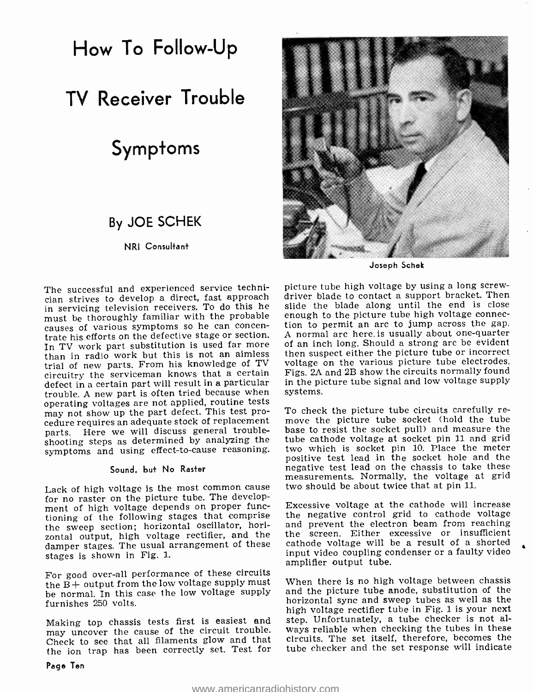How To Follow-Up

# TV Receiver Trouble

# Symptoms

### By JOE SCHEK

NRI Consultant

The successful and experienced service technician strives to develop a direct, fast approach driver blade to contact a support bracket. Then in servicing television receivers. To do this he must be thoroughly familiar with the probable enough to the picture tube high voltage connec-<br>causes of various symptoms so he can concen- tion to permit an arc to jump across the gap.<br>trate his efforts on the defective st than in radio work but this is not an aimless trial of new parts. From his knowledge of TV circuitry the serviceman knows that a certain defect in a certain part will result in a particular trouble. A new part is often tried because when operating voltages are not applied, routine tests may not show up the part defect. This test procedure requires an adequate stock of replacement move the picture tube socket (hold the tube parts. Here we will discuss general troubleshooting steps as determined by analyzing the symptoms and using effect-to-cause reasoning.

#### Sound, but No Raster

Lack of high voltage is the most common cause for no raster on the picture tube. The development of high voltage depends on proper functioning of the following stages that comprise the sweep section; horizontal oscillator, horizontal output, high voltage rectifier, and the damper stages. The usual arrangement of these stages is shown in Fig. 1.

For good over -all performance of these circuits the  $\bar{B}$  + output from the low voltage supply must be normal. In this case the low voltage supply furnishes 250 volts.

Making top chassis tests first is easiest and may uncover the cause of the circuit trouble. Check to see that all filaments glow and that the ion trap has been correctly set. Test for



Joseph Schek

picture tube high voltage by using a long screwslide the blade along until the end is close enough to the picture tube high voltage connec-A normal arc here, is usually about one -quarter of an inch long. Should a strong arc be evident then suspect either the picture tube or incorrect voltage on the various picture tube electrodes. Figs. 2A and 2B show the circuits normally found in the picture tube signal and low voltage supply systems.

To check the picture tube circuits carefully rebase to resist the socket pull) and measure the tube cathode voltage at socket pin 11 and grid two which is socket pin 10. Place the meter positive test lead in the socket hole and the negative test lead on the chassis to take these measurements. Normally, the voltage at grid two should be about twice that at pin 11.

Excessive voltage at the cathode will increase the negative control grid to cathode voltage and prevent the electron beam from reaching the screen. Either excessive or insufficient cathode voltage will be a result of a shorted input video coupling condenser or a faulty video amplifier output tube.

When there is no high voltage between chassis and the picture tube anode, substitution of the horizontal sync and sweep tubes as well as the high voltage rectifier tube in Fig. 1 is your next step. Unfortunately, a tube checker is not always reliable when checking the tubes in these circuits. The set itself, therefore, becomes the tube checker and the set response will indicate

Page Ten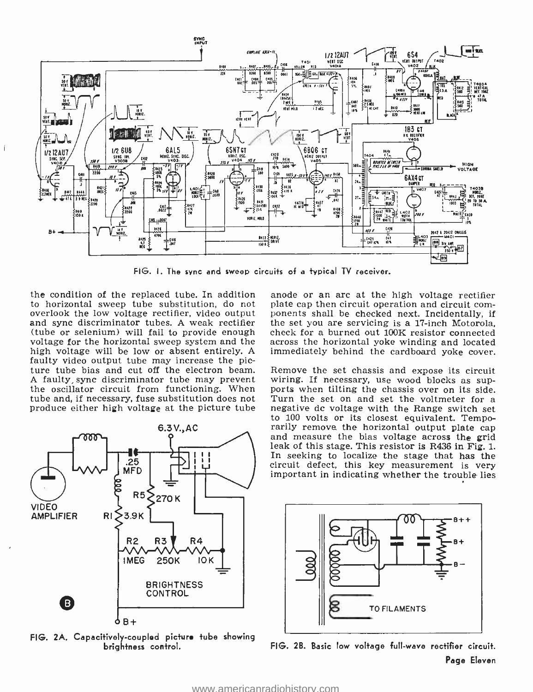

FIG. I. The sync and sweep circuits of a typical TV receiver.

to horizontal sweep tube substitution, do not overlook the low voltage rectifier, video output ponents shall be checked next. Incidentally, if<br>and sync discriminator tubes. A weak rectifier the set you are servicing is a 17-inch Motorola,<br>(tube or selenium) will fail voltage for the horizontal sweep system and the high voltage will be low or absent entirely. A faulty video output tube may increase the picture tube bias and cut off the electron beam. Remove the set chassis and expose its circuit A faulty sync discriminator tube may prevent wiring. If necessary, use wood blocks as supthe oscillator circuit from functioning. When ports when tilting the chassis over on its side. tube and, if necessary, fuse substitution does not Turn the set on and set the voltmeter for a<br>produce either high voltage at the picture tube – negative dc voltage with the Range switch set

 $\overline{1}$ 



FIG. 2A. Capacitively -coupled picture tube showing brightness control.

the condition of the replaced tube. In addition anode or an arc at the high voltage rectifier<br>to horizontal sweep tube substitution, do not plate cap then circuit operation and circuit comanode or an arc at the high voltage rectifier ponents shall be checked next. Incidentally, if the set you are servicing is a 17 -inch Motorola, across the horizontal yoke winding and located immediately behind the cardboard yoke cover.

produce either high voltage at the picture tube in negative dc voltage with the Range switch set<br>to 100 volts or its closest equivalent. Tempowiring. If necessary, use wood blocks as sup-Turn the set on and set the voltmeter for a rarily remove the horizontal output plate cap<br>and measure the bias voltage across the grid<br>leak of this stage. This resistor is R436 in Fig. 1.<br>In seeking to localize the stage that has the<br>circuit defect, this key measure important in indicating whether the trouble lies



FIG. 2B. Basic low voltage full-wave rectifier circuit. Page Eleven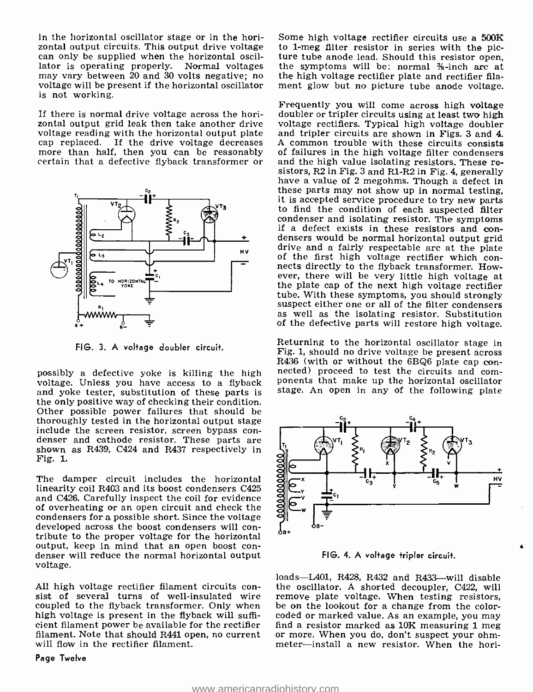in the horizontal oscillator stage or in the horizontal output circuits. This output drive voltage can only be supplied when the horizontal oscilcan only be supplied when the horizontal oscil-<br>lator is operating properly. Normal voltages the symptoms will be: normal  $%$ -inch arc at may vary between 20 and 30 volts negative; no voltage will be present if the horizontal oscillator is not working.

If there is normal drive voltage across the hori-If there is normal drive voltage across the hori-<br>
zontal output grid leak then take another drive voltage rectifiers. Typical high voltage doubler voltage reading with the horizontal output plate



FIG. 3. A voltage doubler circuit.

possibly a defective yoke is killing the high nected) proceed to test the circuits and comvoltage. Unless you have access to a flyback ponents that make up the horizontal oscillator and yoke tester, substitution of these p the only positive way of checking their condition. Other possible power failures that should be thoroughly tested in the horizontal output stage<br>include the screen resistor, screen bypass con-<br>denser and cathode resistor. These parts are<br> $Fig. 1$ .<br>The damper circuit includes the horizontal<br>linearity coil R403 and its Fig. 1.

The damper circuit includes the horizontal linearity coil R403 and its boost condensers C425 and C426. Carefully inspect the coil for evidence of overheating or an open circuit and check the<br>condensers for a possible short. Since the voltage developed across the boost condensers will con-<br>tribute to the proper voltage for the horizontal<br>output, keep in mind that an open boost condenser will reduce the normal horizontal output<br>voltage.

coupled to the flyback transformer. Only when high voltage is present in the flyback will suffihigh voltage is present in the flyback will suffi- coded or marked value. As an example, you may<br>cient filament power be available for the rectifier - find a resistor marked a**s 10K** measuring 1 meg filament. Note that should R441 open, no current will flow in the rectifier filament.

Page Twelve

Some high voltage rectifier circuits use a 500K to 1-meg filter resistor in series with the picthe high voltage rectifier plate and rectifier filament glow but no picture tube anode voltage.

cap replaced. If the drive voltage decreases a common trouble with these circuits consists<br>more than half, then you can be reasonably of failures in the high voltage filter condensers<br>certain that a defective flyback tran Frequently you will come across high voltage and tripler circuits are shown in Figs. 3 and 4. A common trouble with these circuits consists of failures in the high voltage filter condensers and the high value isolating resistors. These resistors, R2 in Fig. 3 and R1-R2 in Fig. 4, generally have a value of 2 megohms. Though a defect in these parts may not show up in normal testing, it is accepted service procedure to try new parts to find the condition of each suspected filter condenser and isolating resistor. The symptoms if a defect exists in these resistors and con-<br>densers would be normal horizontal output grid<br>drive and a fairly respectable arc at the plate<br>of the first high voltage rectifier which con-<br>nects directly to the flyback tra ever, there will be very little high voltage at the plate cap of the next high voltage rectifier tube. With these symptoms, you should strongly suspect either one or all of the filter condensers as well as the isolating resistor. Substitution of the defective parts will restore high voltage.

> Returning to the horizontal oscillator stage in Fig. 1, should no drive voltage be present across R436 (with or without the 6BQ6 plate cap constage. An open in any of the following plate



FIG. 4. A voltage tripler circuit.

All high voltage rectifier filament circuits con-<br>sist of several turns of well-insulated wire remove plate voltage. When testing resistors,<br>coupled to the flyback transformer. Only when be on the lookout for a change from loads-L401, R428, R432 and R433-will disable remove plate voltage. When testing resistors, or more. When you do, don't suspect your ohmmeter-install a new resistor. When the hori-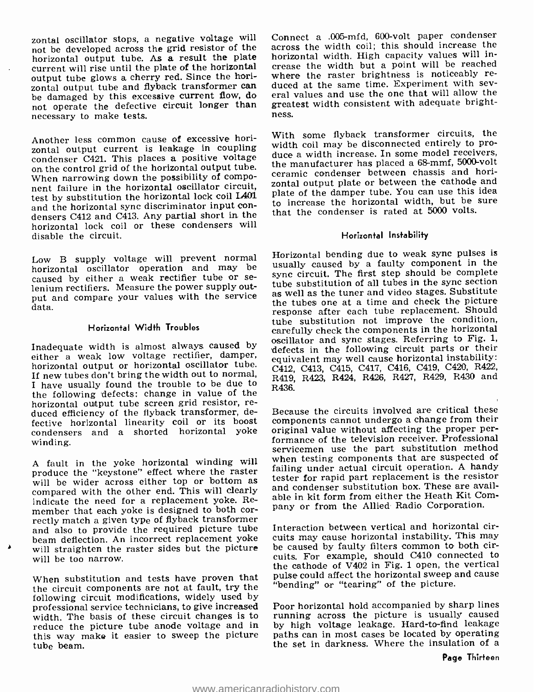zontal oscillator stops, a negative voltage will not be developed across the grid resistor of the horizontal output tube. As a result the plate current will rise until the plate of the horizontal crease the width but a point will be reached<br>output tube glows a cherry red. Since the hori-<br>where the raster brightness is noticeably reoutput tube glows a cherry red. Since the horizontal output tube and flyback transformer can duced at the same time. Experiment with sev-<br>be damaged by this excessive current flow, do eral values and use the one that will allow the not operate the defective circuit longer than great<br>necessary to make tests necessary to make tests.

Another less common cause of excessive horizontal output current is leakage in coupling condenser C421. This places a positive voltage on the control grid of the horizontal output tube. When narrowing down the possibility of component failure in the horizontal oscillator circuit, test by substitution the horizontal lock coil L401<br>and the horizontal sync discriminator input conand the horizontal sync discriminator input con-<br>densers C412 and C413. Any partial short in the that the condenser is rated at 5000 volts. horizontal lock coil or these condensers will disable the circuit.

Low B supply voltage will prevent normal horizontal oscillator operation and may be caused by either a weak rectifier tube or se- lenium rectifiers. Measure the power supply output and compare your values with the service data.

#### Horizontal Width Troubles

Inadequate width is almost always caused by either a weak low voltage rectifier, damper, horizontal output or horizontal oscillator tube. If new tubes don't bring the width out to normal, <sup>I</sup>have usually found the trouble to be due to the following defects: change in value of the horizontal output tube screen grid resistor, re- duced efficiency of the flyback transformer, defective horizontal linearity coil or its boost condensers and a shorted horizontal yoke winding.

<sup>A</sup>fault in the yoke horizontal winding will produce the "keystone" effect where the raster<br>will be wider across either top or bottom as compared with the other end. This will clearly indicate the need for a replacement yoke. Rerectly match a given type of flyback transformer and also to provide the required picture tube beam deflection. An incorrect replacement yoke will straighten the raster sides but the picture will be too narrow.

When substitution and tests have proven that pulse could allect the horizontal sweep a<br>the singuit components are not at fault try the "bending" or "tearing" of the picture. the circuit components are not at fault, try the following circuit modifications, widely used by professional service technicians, to give increased width. The basis of these circuit changes is to reduce the picture tube anode voltage and in this way make it easier to sweep the picture tube beam.

Connect a .005 -mfd, 600 -volt paper condenser across the width coil; this should increase the horizontal width. High capacity values will increase the width but a point will be reached eral values and use the one that will allow the greatest width consistent with adequate bright-

With some flyback transformer circuits, the width coil may be disconnected entirely to produce a width increase. In some model receivers, the manufacturer has placed a 68-mmf, 5000-volt ceramic condenser between chassis and horizontal output plate or between the cathode and plate of the damper tube. You can use this idea to increase the horizontal width, but be sure

#### Horizontal Instability

Horizontal bending due to weak sync pulses is usually caused by a faulty component in the sync circuit. The first step should be complete as well as the tuner and video stages. Substitute the tubes one at a time and check the picture response after each tube replacement. Should tube substitution not improve the condition, carefully check the components in the horizontal oscillator and sync stages. Referring to Fig. 1, defects in the following circuit parts or their equivalent may well cause horizontal instability: C412, C413, C415, C417, C416, C419, C420, R422, R419, R423, R424, R426, R427, R429, R430 and R436.

Because the circuits involved are critical these components cannot undergo a change from their original value without affecting the proper performance of the television receiver. Professional servicemen use the part substitution method when testing components that are suspected of failing under actual circuit operation. A handy tester for rapid part replacement is the resistor and condenser substitution box. These are available in kit form from either the Heath Kit Company or from the Allied Radio Corporation.

Interaction between vertical and horizontal circuits may cause horizontal instability. This may be caused by faulty filters common to both circuits. For example, should C410 connected to the cathode of V402 in Fig. 1 open, the vertical pulse could affect the horizontal sweep and cause

Poor horizontal hold accompanied by sharp lines running across the picture is usually caused by high voltage leakage. Hard-to-find leakage paths can in most cases be located by operating the set in darkness. Where the insulation of a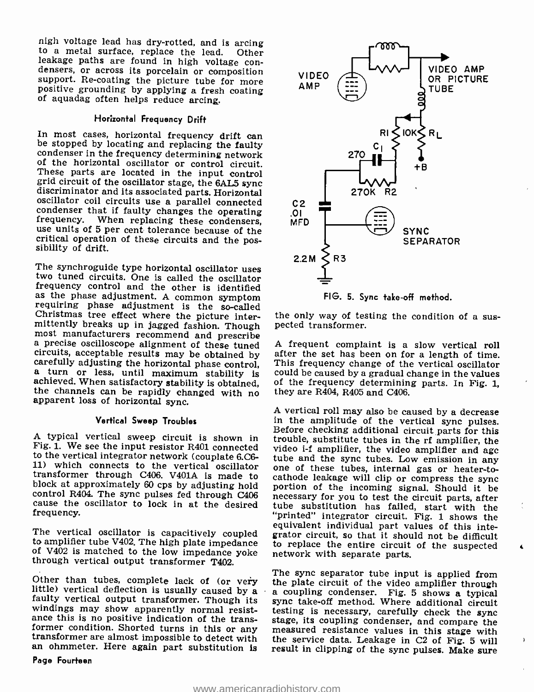nigh voltage lead has dry-rotted, and is arcing<br>to a metal surface, replace the lead. Other<br>leakage paths are found in high voltage con-<br>densers, or across its porcelain or composition<br>support. Re-coating the picture tube

#### Horizontal Frequency Drift

In most cases, horizontal frequency drift can be stopped by locating and replacing the faulty condenser in the frequency determining network of the horizontal oscillator or control circuit. These parts are located in the input control<br>grid circuit of the oscillator stage, the 6AL5 sync<br>discriminator and its associated parts. Horizontal<br>oscillator coil circuits use a parallel connected<br>condenser that if faulty

The synchroguide type horizontal oscillator uses<br>two tuned circuits. One is called the oscillator<br>frequency control and the other is identified<br>as the phase adjustment. A common symptom<br>requiring phase adjustment is the so

#### Vertical Sweep Troubles

Fig. 1. We see the input resistor R401 connected to the vertical integrator network (couplate 6.C6-<br>tube and the sync tubes. Low emission in any 11) which connects to the vertical oscillator one of these tubes, internal gas or heater-to-<br>transformer through C406. V401A is made to cathode leakage will clip or compress the sync<br>block at approximately 60 cps by adjust control R404. The sync pulses fed through C406 cause the oscillator to lock in at the desired frequency.

The vertical oscillator is capacitively coupled to amplifier tube V402. The high plate impedance of V402 is matched to the low impedance yoke through vertical output transformer T402.

Page Fourteen



FIG. 5. Sync take -off method.

the only way of testing the condition of a sus- pected transformer.

<sup>A</sup>frequent complaint is a slow vertical roll after the set has been on for a length of time. This frequency change of the vertical oscillator could be caused by a gradual change in the values of the frequency determining parts. In Fig. 1, they are R404, R405 and C406.

A typical vertical sweep circuit is shown in trouble, substitute tubes in the rf amplifier, the Fig. 1. We see the input resistor R401 connected video i-f amplifier, the video amplifier and ago <sup>A</sup>vertical roll may also be caused by a decrease Before checking additional circuit parts for this one of these tubes, internal gas or heater-tocathode leakage will clip or compress the sync<br>portion of the incoming signal. Should it be<br>necessary for you to test the circuit parts, after tube substitution has failed, start with the "printed" integrator circuit. Fig. 1 shows the equivalent individual part values of this integrator circuit, so that it should not be difficult to replace the entire circuit of the suspected network with separate parts.

Other than tubes, complete lack of (or very ine plate circuit of the video amplifier through<br>little) vertical deflection is usually caused by a<br>lack of the video amplifier through<br>faulty vertical output transformer. Thoug The sync separator tube input is applied from measured resistance values in this stage with<br>the service data Leakage in  $C<sup>2</sup>$  of Fig. 5 will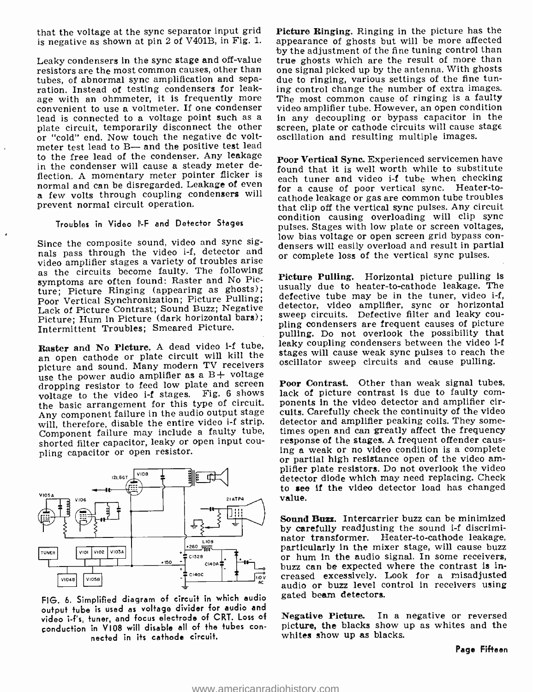that the voltage at the sync separator input grid is negative as shown at pin 2 of V401B, in Fig. 1.

Leaky condensers in the sync stage and off-value true ghosts which are the result of more than<br>resistors are the most common causes, other than one signal picked up by the antenna. With ghosts resistors are the most common causes, other than tubes, of abnormal sync amplification and separation. Instead of testing condensers for leak-<br>age with an ohmmeter, it is frequently more convenient to use a voltmeter. If one condenser<br>lead is connected to a voltage point such as a plate circuit, temporarily disconnect the other or "cold" end. Now touch the negative do voltmeter test lead to B- and the positive test lead to the free lead of the condenser. Any leakage in the condenser will cause a steady meter deflection. A momentary meter pointer flicker is<br>normal and can be disregarded. Leakage of even a few volts through coupling condensers will prevent normal circuit operation.

#### Troubles in Video I-F and Detector Stages

Since the composite sound, video and sync sig-Since the composite sound, video and sync sig-<br>nals pass through the video i-f, detector and or complete loss of the vertical sync pulses. video amplifier stages a variety of troubles arise as the circuits become faulty. The following symptoms are often found: Raster and No Picture; Picture Ringing (appearing as ghosts); Poor Vertical Synchronization; Picture Pulling; Lack of Picture Contrast; Sound Buzz; Negative Picture; Hum in Picture (dark horizontal bars); sweep circuits. Defective filter and leaky cou-<br>Laternittent Traubles: Smeared Picture pling condensers are frequent causes of picture Intermittent Troubles; Smeared Picture.

Raster and No Picture. A dead video i-f tube, an open cathode or plate circuit will kill the picture and sound. Many modern TV receivers use the power audio amplifier as a B+ voltage dropping resistor to feed low plate and screen adverging resistor to feed in the video i-f stages. Fig. 6 shows lack of picture contrast is due to faulty comthe basic arrangement for this type of circuit. Any component failure in the audio output stage will, therefore, disable the entire video i-f strip. detector and amplifier peaking coils. They some-<br>Companent failure may include a faulty tube. times open and can greatly affect the frequency Component failure may include a faulty tube, shorted filter capacitor, leaky or open input cou- pling capacitor or open resistor.



FIG. 6. Simplified diagram of circuit in which audio output tube is used as voltage divider for audio and video i-f's, tuner, and focus electrode of CRT. Loss of conduction in VI08 will disable all of the tubes con- nected in its cathode circuit.

Picture Ringing. Ringing in the picture has the appearance of ghosts but will be more affected by the adjustment of the fine tuning control than true ghosts which are the result of more than due to ringing, various settings of the fine tuning control change the number of extra images. The most common cause of ringing is a faulty video amplifier tube. However, an open condition in any decoupling or bypass capacitor in the screen, plate or cathode circuits will cause stage oscillation and resulting multiple images.

Poor Vertical Sync. Experienced servicemen have found that it is well worth while to substitute each tuner and video i-f tube when checking for a cause of poor vertical sync. Heater-tocathode leakage or gas are common tube troubles that clip off the vertical sync pulses. Any circuit condition causing overloading will clip sync pulses. Stages with low plate or screen voltages, low bias voltage or open screen grid bypass con-

Picture Pulling. Horizontal picture pulling is usually due to heater-to-cathode leakage. The defective tube may be in the tuner, video i-f, detector, video amplifier, sync or horizontal sweep circuits. Defective filter and leaky coupulling. Do not overlook the possibility that leaky coupling condensers between the video i-f stages will cause weak sync pulses to reach the oscillator sweep circuits and cause pulling.

Poor Contrast. Other than weak signal tubes, ponents in the video detector and amplifier circuits. Carefully check the continuity of the video detector and amplifier peaking coils. They someresponse of the stages. A frequent offender caus-<br>ing a weak or no video condition is a complete<br>or partial high resistance open of the video am-<br>plifier plate resistors. Do not overlook the video detector diode which may need replacing. Check to see if the video detector load has changed value.

Sound Buzz. Intercarrier buzz can be minimized by carefully readjusting the sound i-f discriminator transformer. Heater-to-cathode leakage, particularly in the mixer stage, will cause buzz or hum in the audio signal. In some receivers, buzz can be expected where the contrast is increased excessively. Look for a misadjusted audio or buzz level control in receivers using gated beam detectors.

Negative Picture. In a negative or reversed picture, the blacks show up as whites and the whites show up as blacks.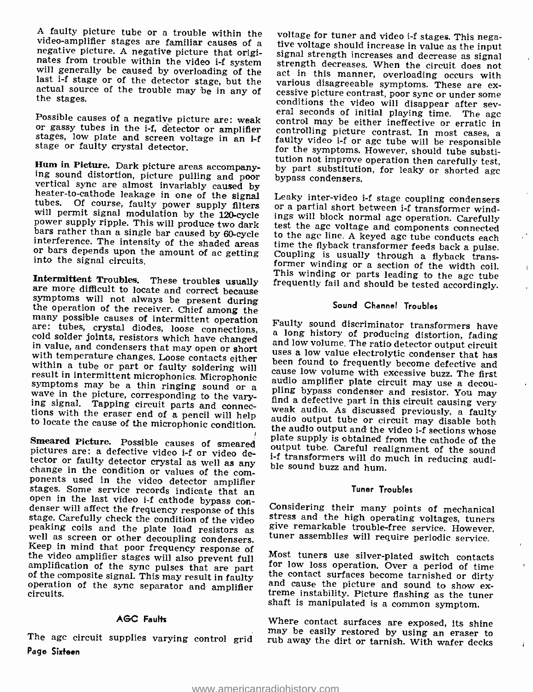A faulty picture tube or a trouble within the video-amplifier stages are familiar causes of a negative picture. A negative picture that originates from trouble within the video i-f system will generally be caused by overlo

Possible causes of a negative picture are: weak or gassy tubes in the i -f, detector or amplifier stages, low plate and screen voltage in an i -f stage or faulty crystal detector.

Hum in Picture. Dark picture areas accompany-<br>ing sound distortion, picture areas accompany-<br>ing sound distortion, picture pulling and poor<br>vertical sync are almost invariably caused by<br>between the signal<br>heater-to-cathode or bars depends upon the amount of ac getting into the signal circuits.

symptoms will not always be present during<br>the operation of the receiver. Chief among the<br>many possible causes of intermittent operation

Smeared Picture. Possible causes of smeared plate supply is obtained from the cathode of the pictures are: a defective video i-f or video de-<br>pictures are: a defective video i-f or video de-<br>tector or faulty detector cryst peaking coils and the plate load resistors as<br>well as screen or other decoupling condensers.<br>Keep in mind that poor frequency response of<br>the video amplifier stages will also prevent full<br>amplification of the sync pulses t

#### AGC Faulfis

Page Sixteen

voltage for tuner and video i-f stages. This nega-<br>tive voltage should increase in value as the input<br>signal strength increases and decrease as signal<br>strength decreases. When the circuit does not<br>act in this manner, overl various disagreeable symptoms. These are excessive picture contrast, poor sync or under some conditions the video will disappear after several seconds of initial playing time. The agc control may be either ineffective or e

Intermittent Troubles. These troubles usually This winding or parts leading to the age tube are more difficult to locate and correct because test the agc voltage and components connected time the flyback transformer feeds back a pulse.<br>Coupling is usually through a flyback transformer winding or a section of the width coil.

 $\overline{1}$ 

Ŷ.

#### Sound Channel Troubles

many possible causes on interimitent operation<br>are: these, crystal diodes, loose connections,<br>cause on method as long history of producing distortion, fading<br>in value, and condensers that may open or short<br>in value, and co Faulty sound discriminator transformers have<br>a long history of producing distortion, fading<br>and low volume. The ratio detector output circuit<br>uses a low value electrolytic condenser that has<br>been found to frequently become i-f transformers will do much in reducing audi-

#### Tuner Troubles

Considering their many points of mechanical give remarkable trouble-free service. However, tuner assemblies will require periodic service.

Most tuners use silver-plated switch contacts<br>for low loss operation. Over a period of time<br>the contact surfaces become tarnished or dirty<br>and cause the picture and sound to show ex-<br>treme instability. Picture flashing as

may be easily restored by using an eraser to<br>The agc circuit supplies varying control grid rub away the dirt or tarnish. With wafer decks Where contact surfaces are exposed, its shine rub away the dirt or tarnish. With wafer decks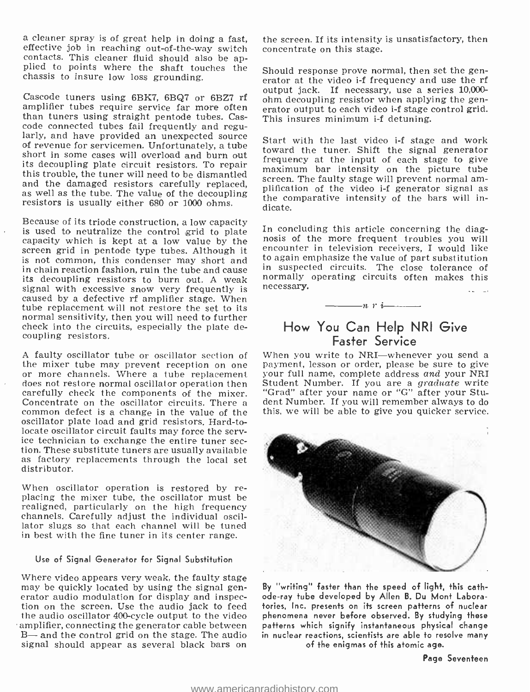a cleaner spray is of great help in doing a fast, effective job in reaching out-of-the-way switch contacts. This cleaner fluid should also be applied to points where the shaft touches the chassis to insure low loss grounding.

amplifier tubes require service far more often<br>than tuners using straight pentode tubes. Casthan tune code connected tubes fail frequently and regu-<br>larly, and have provided an unexpected source of revenue for servicemen. Unfortunately, a tube toward the tuner. Shift the signal generator short in some cases will overload and burn out its decoupling plate circuit resistors. To repair the transition of the proton of the proton of the tuner will need to be dismantled<br>this trouble, the tuner will need to be dismantled<br>access. The faulty stage will prevent and the damaged resistors carefully replaced, as well as the tube. The value of the decoupling resistors is usually either 680 or 1000 ohms.

Because of its triode construction, a low capacity<br>is used to neutralize the control grid to plate In concluding this article concerning the diag-<br>capacity which is kept at a low value by the screen grid in pentode type tu is not common, this condenser may short and in chain reaction fashion, ruin the tube and cause its decoupling resistors to burn out. A weak signal with excessive snow very frequently is caused by a defective rf amplifier stage. When tube replacement will not restore the set to its normal sensitivity, then you will need to further check into the circuits, especially the plate decoupling resistors.

A faulty oscillator tube or oscillator section of When you write to NRI-whenever you send a the mixer tube may prevent reception an one or more channels. Where a tube replacement does not restore normal oscillator operation then carefully check the components of the mixer.<br>Concentrate on the oscillator circuits. There a common defect is a change in the value of the oscillator plate load and grid resistors. Hard-tolocate oscillator circuit faults may force the serv-<br>ice technician to exchange the entire tuner sec-<br>tion. These substitute tuners are usually available<br>as factory replacements through the local set distributor.

When oscillator operation is restored by re-<br>placing the mixer tube, the oscillator must be realigned, particularly on the high frequency channels. Carefully adjust the individual oscillator slugs so that each channel will be tuned in best with the fine tuner in its center range.

#### Use of Signal Generator for Signal Substitution

Where video appears very weak, the faulty stage may be quickly located by using the signal generator audio modulation for display and inspection on the screen. Use the audio jack to feed the audio oscillator 400-cycle output to the video<br>amplifier, connecting the generator cable between B- and the control grid on the stage. The audio signal should appear as several black bars on

the screen. If its intensity is unsatisfactory, then concentrate on this stage.

output jack. If necessary, use a series 10,000-<br>Cascode tuners using 6BK7, 6BQ7 or 6BZ7 rf ohm decoupling resistor when applying the gen-Should response prove normal, then set the generator at the video i-f frequency and use the rf ohm decoupling resistor when applying the generator output to each video i-f stage control grid. This insures minimum i-f detuning.

> Start with the last video i-f stage and work frequency at the input of each stage to give maximum bar intensity on the picture tube screen. The faulty stage will prevent normal am-<br>plification of the video i-f generator signal as<br>the comparative intensity of the bars will indicate.

> In concluding this article concerning the diagencounter in television receivers, I would like to again emphasize the value of part substitution in suspected circuits. The close tolerance of normally operating circuits often makes this necessary.

## How You Can Help NRI Give Faster Service

 $-n \rightarrow i$ 

payment, lesson or order, please be sure to give your full name, complete address and your NRI Student Number. If you are a graduate write "Grad" after your name or "G" after your Student Number. If you will remember always to do this, we will be able to give you quicker service.



By "writing" faster than the speed of light, this cathode -ray tube developed by Allen B. Du Mont Laboratories, Inc. presents on its screen patterns of nuclear phenomena never before observed. By studying these patterns which signify instantaneous physical change in nuclear reactions, scientists are able to resolve many of the enigmas of this atomic age.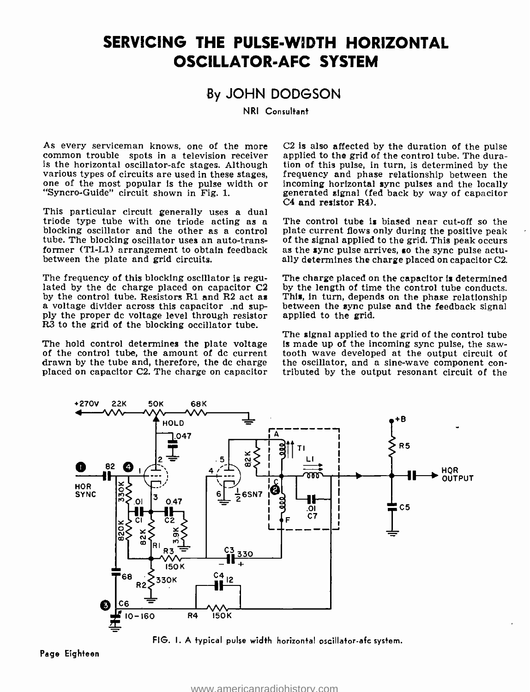# SERVICING THE PULSE-WIDTH HORIZONTAL OSCILLATOR-AFC SYSTEM

### By JOHN DODGSON

NRI Consultant

As every serviceman knows, one of the more  $C2$  is also affected by the duration of the pulse common trouble spots in a television receiver applied to the grid of the control tube. The dura-<br>is the horizontal oscillator-a various types of circuits are used in these stages, one of the most popular is the pulse width or "Syncro-Guide" circuit shown in Fig. 1.

This particular circuit generally uses a dual<br>This particular circuit generally uses a dual triode type tube with one triode acting as a The control tube is biased near cut-off so the blocking oscillator and the other as a control plate current flows only during the positive peak tube. The blocking oscillator use tube. The blocking oscillator uses an auto-transformer (T1-L1) arrangement to obtain feedback as the sync pulse arrives, so the sync pulse actubetween the plate and grid circuits.

The frequency of this blocking oscillator is regulated by the dc charge placed on capacitor  $C2$  by the control tube. Resistors R1 and R2 act as a voltage divider across this capacitor .nd sup-<br>ply the proper dc voltage level through resistor applied to the grid. R3 to the grid of the blocking occillator tube.

placed on capacitor C2. The charge on capacitor

 $C2$  is also affected by the duration of the pulse. tion of this pulse, in turn, is determined by the frequency and phase relationship between the incoming horizontal sync pulses and the locally generated signal (fed back by way of capacitor

The control tube is biased near cut-off so the plate current flows only during the positive peak ally determines the charge placed on capacitor C2.

The charge placed on the capacitor is determined by the length of time the control tube conducts. This, in turn, depends on the phase relationship

The hold control determines the plate voltage is made up of the incoming sync pulse, the saw-<br>of the control tube, the amount of dc current tooth wave developed at the output circuit of<br>drawn by the tube and, therefore, th The signal applied to the grid of the control tube tooth wave developed at the output circuit of tributed by the output resonant circuit of the



FIG. I. A typical pulse width horizontal oscillator-afc system.

Page Eighteen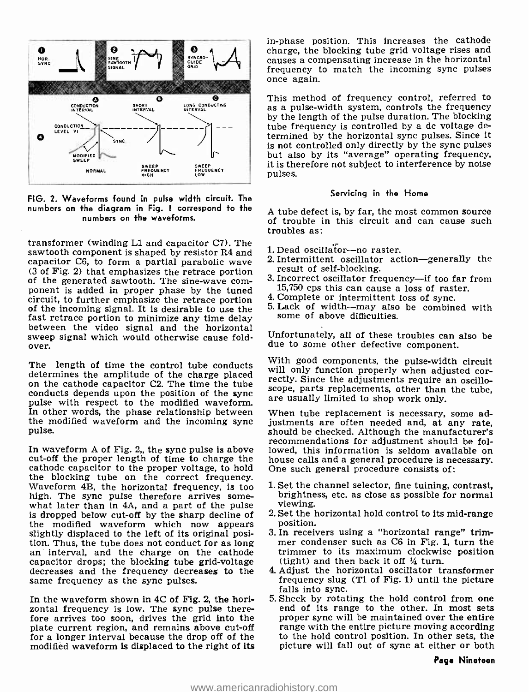

FIG. 2. Waveforms found in pulse width circuit. The numbers on the diagram in Fig. I correspond to the numbers on the waveforms.

transformer (winding Ll and capacitor C7). The sawtooth component is shaped by resistor R4 and capacitor C6, to form a partial parabolic wave (3 of Fig. 2) that emphasizes the retrace portion result of self-blocking.<br>
of the generated sawtooth. The sine-wave com-<br>
ponent is added in proper phase by the tuned  $15.750$  cps this can cause a loss of rast<br>
circuit, of the incoming signal. It is desirable to use the  $5.$  Lack of width—may also fast retrace portion to minimize any time delay some of above difficulties. between the video signal and the horizontal<br>sweep signal which would otherwise cause fold-

determines the amplitude of the charge placed on the cathode capacitor C2. The time the tube conducts depends upon the position of the sync pulse with respect to the modified waveform. In other words, the phase relationship between the modified waveform and the incoming sync pulse.

cut-off the proper length of time to charge the house calls and a general procedure is ne cathode capacitor to the proper voltage, to hold One such general procedure consists of: cathode capacitor to the proper voltage, to hold the blocking tube on the correct frequency.<br>Waveform 4B, the horizontal frequency, is too 1. Set the channel selector, fine tuining, contrast, high. The sync pulse therefore arrives some- what later than in 4A, and a part of the pulse is dropped below cut-off by the sharp decline of  $\frac{2.8 \text{et}}{\text{et}}$  2. Set the  $\frac{1}{2}$ the modified waveform which now appears position.<br>Slightly displaced to the left of its original posi-<br>tion. Thus, the tube does not conduct for as long an interval, and the charge on the cathode trimmer to its maximum cl capacitor drops; the blocking tube grid-voltage decreases and the frequency decreases to the same frequency as the sync pulses.

In the waveform shown in 4C of Fig. 2, the horizontal frequency is low. The sync pulse therefore arrives too soon, drives the grid into the plate current region, and remains above cut-off for a longer interval because the drop off of the modified waveform is displaced to the right of its in -phase position. This increases the cathode charge, the blocking tube grid voltage rises and causes a compensating increase in the horizontal frequency to match the incoming sync pulses once again.

This method of frequency control, referred to as a pulse -width system, controls the frequency by the length of the pulse duration. The blocking tube frequency is controlled by a dc voltage determined by the horizontal sync pulses. Since it is not controlled only directly by the sync pulses but also by its "average" operating frequency, it is therefore not subject to interference by noise pulses.

#### Servicing in the Home

<sup>A</sup>tube defect is, by far, the most common source of trouble in this circuit and can cause such troubles as:

- 1. Dead oscillator-no raster.
- 2. Intermittent oscillator action-generally the result of self-blocking.
- 3. Incorrect oscillator frequency-if too far from 15,750 cps this can cause a loss of raster.
- 
- 5. Lack of width--may also be combined with

Unfortunately, all of these troubles can also be due to some other defective component.

over.<br>Signal with good components, the pulse-width circuit<br>determines the expective of the charge placed - will only function properly when adjusted cor-With good components, the pulse-width circuit rectly. Since the adjustments require an oscilloscope, parts replacements, other than the tube, are usually limited to shop work only.

In waveform A of Fig. 2, the sync pulse is above lowed, this information is seldom available on cut-off the proper length of time to charge the house calls and a general procedure is necessary. When tube replacement is necessary, some adjustments are often needed and, at any rate, should be checked. Although the manufacturer's recommendations for adjustment should be followed, this information is seldom available on

- brightness, etc. as close as possible for normal viewing.
- 2. Set the horizontal hold control to its mid-range
- 3. In receivers using a "horizontal range" trimmer condenser such as C6 in Fig. 1, turn the trimmer to its maximum clockwise position
- 4. Adjust the horizontal oscillator transformer frequency slug (T1 of Fig. 1) until the picture falls into sync.
- end of its range to the other. In most sets proper sync will be maintained over the entire range with the entire picture moving according to the hold control position. In other sets, the picture will fall out of sync at either or both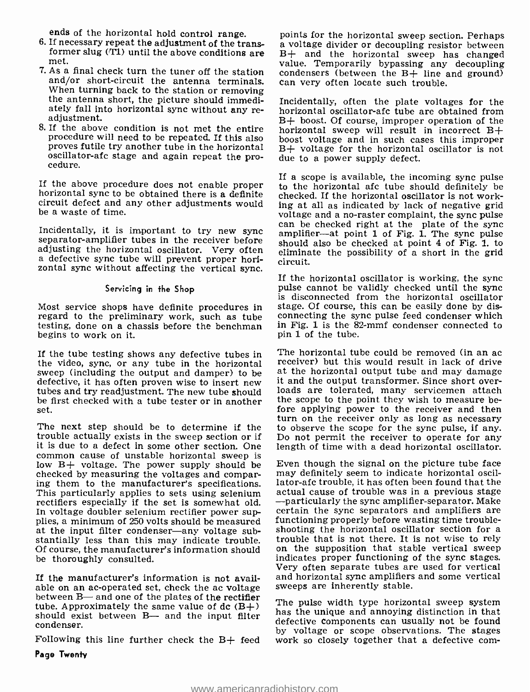ends of the horizontal hold control range.<br>6. If necessary repeat the adjustment of the trans-

- met.
- 7. As a final check turn the tuner off the station condensers (between the  $B +$  line and/or short-circuit the antenna terminals. can very often locate such trouble. and/or short-circuit the antenna terminals. When turning back to the station or removing the antenna short, the picture should immediately fall into horizontal sync without any re- adjustment.
- proves futile try another tube in the horizontal oscillator -afc stage and again repeat the pro- cedure.

If the above procedure does not enable proper  $\overline{t}$  to the horizontal afc tube should definitely be horizontal sync to be obtained there is a definite checked. If the horizontal oscillator is not work-<br>circuit defect a be a waste of time.

adjusting the horizontal oscillator. Very often a defective sync tube will prevent proper horia defective sync tube will prevent proper hori-<br>zontal sync without affecting the vertical sync.

#### Servicing in the Shop

Most service shops have definite procedures in regard to the preliminary work, such as tube testing, done on a chassis before the henchman begins to work on it.

the video, sync, or any tube in the horizontal receiver) but this would result in lack of drive<br>sweep (including the output and damper) to be at the horizontal output tube and may damage sweep (including the output and damper) to be at the horizontal output tube and may damage<br>defective, it has often proven wise to insert new it and the output transformer. Since short overdefective, it has often proven wise to insert new tubes and try readjustment. The new tube should be first checked with a tube tester or in another set.

The next step should be to determine if the to observe the scope for the sync pulse, if any.<br>trouble actually exists in the sweep section or if Do not permit the receiver to operate for any trouble actually exists in the sweep section or if Do not permit the receiver to operate for any it is due to a defect in some other section. One length of time with a dead horizontal oscillator. it is due to a defect in some other section. One common cause of unstable horizontal sweep is low  $B+$  voltage. The power supply should be checked by measuring the voltages and comparing them to the manufacturer's specifications. Iator-afc trouble, it has often been found that the<br>This particularly applies to sets using selenium actual cause of trouble was in a previous stage<br>rectifiers especially if t rectifiers especially if the set is somewhat old. In voltage doubler selenium rectifier power sup-<br>plies, a minimum of 250 volts should be measured<br>at the input filter condenser—any voltage sub-<br>a hooting the horizontal oscillator section for a at the input filter condenser—any voltage substantially less than this may indicate trouble. trouble that is not there. It is not wise to rely Of course, the manufacturer's information should on the supposition that stable vertical sweep<br>be thoroughly consulted be thoroughly consulted.

If the manufacturer's information is not available on an ac-operated set, check the ac voltage sweeps are inherently stable.<br>between B- and one of the plates of the rectifier The pulse width type horizontal sweep system<br>type Annovimately the come whye of the CP-1. tube. Approximately the same value of  $dc$  (B+) should exist between B— and the input filter condenser.

ends of the horizontal hold control range. points for the horizontal sweep section. Perhaps If necessary repeat the adjustment of the trans- a voltage divider or decoupling resistor between former slug (T1) until the abov condensers (between the B+ line and ground)

8. If the above condition is not met the entire  $\frac{1}{2}$  horizontal sweep will result in incorrect B+ procedure will need to be repeated. If this also boost voltage and in such cases this improper Incidentally, often the plate voltages for the horizontal oscillator -afc tube are obtained from B+ boost. Of course, improper operation of the horizontal sweep will result in incorrect B+  $B+$  voltage for the horizontal oscillator is not due to a power supply defect.

Incidentally, it is important to try new sync simplifier—at point 1 of Fig. 1. The sync pulse separator-amplifier tubes in the receiver before should also be checked at point 4 of Fig. 1. to If a scope is available, the incoming sync pulse to the horizontal afc tube should definitely be checked. If the horizontal oscillator is not workvoltage and a no-raster complaint, the sync pulse<br>can be checked right at the plate of the sync eliminate the possibility of a short in the grid

> If the horizontal oscillator is working, the sync pulse cannot be validly checked until the sync is disconnected from the horizontal oscillator stage. Of course, this can be easily done by disconnecting the sync pulse feed condenser which in Fig. 1 is the 82-mmf condenser connected to pin 1 of the tube.

If the tube testing shows any defective tubes in The horizontal tube could be removed (in an ac receiver) but this would result in lack of drive loads are tolerated, many servicemen attach the scope to the point they wish to measure before applying power to the receiver and then turn on the receiver only as long as necessary to observe the scope for the sync pulse, if any.

> Even though the signal on the picture tube face may definitely seem to indicate horizontal oscillator -afc trouble, it has often been found that the actual cause of trouble was in a previous stage certain the sync separators and amplifiers are functioning properly before wasting time troubleon the supposition that stable vertical sweep Very often separate tubes are used for vertical and horizontal sync amplifiers and some vertical sweeps are inherently stable.

by voltage or scope observations. The stages<br>Following this line further check the B+ feed work so closely together that a defective comhas the unique and annoying distinction in that defective components can usually not be found work so closely together that a defective com-

Page Twenty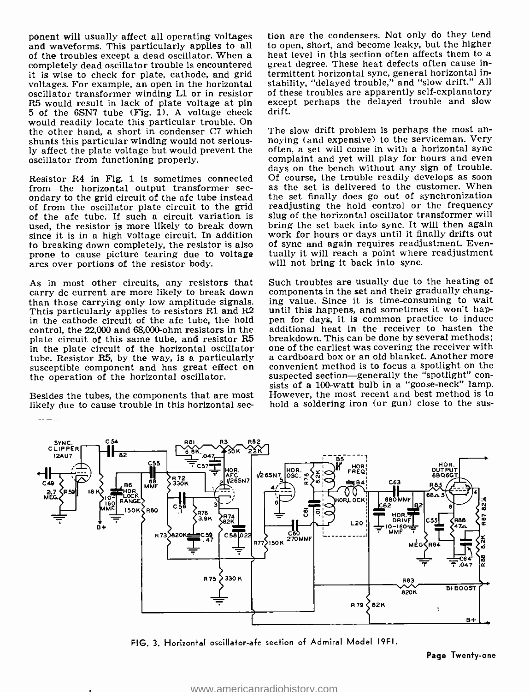ponent will usually affect all operating voltages and are the condensers. Not only do they tend<br>and waveforms. This particularly applies to all allo open, short, and become leaky, but the higher<br>of the troubles except a de completely dead oscillator trouble is encountered it is wise to check for plate, cathode, and grid voltages. For example, an open in the horizontal oscillator transformer winding Ll or in resistor R5 would result in lack of plate voltage at pin 5 of the 6SN7 tube (Fig. 1). A voltage check would readily locate this particular trouble. On<br>the other hand, a short in condenser C7 which The slow drift problem is perhaps the most anthe other hand, a short in condenser C7 which shunts this particular winding would not seriously affect the plate voltage but would prevent the oscillator from functioning properly.

Resistor R4 in Fig. 1 is sometimes connected Of course, the trouble readily develops as soon from the horizontal output transformer sec- as the set is delivered to the customer. When<br>ondary to the grid circuit of the afc tube instead the set finally does go out of synchronization of from the oscillator plate circuit to the grid of the afc tube. If such a circuit variation is used, the resistor is more likely to break down since it is in a high voltage circuit. In addition to breaking down completely, the resistor is also prone to cause picture tearing due to voltage arcs over portions of the resistor body.

As in most other circuits, any resistors that carry dc current are more likely to break down than those carrying only low amplitude signais. Thtis particularly applies to resistors Rl and R2 in the cathode circuit of the afc tube, the hold control, the 22,000 and 68,000 -ohm resistors in the plate circuit of this same tube, and resistor R5 breakdown. This can be done by several methods;<br>in the plate circuit of the horizontal oscillator one of the earliest was covering the receiver with in the plate circuit of the horizontal oscillator one of the earliest was covering the receiver with tube. Resistor R5, by the way, is a particularly a cardboard box or an old blanket. Another more tube. Resistor RS, by the way, is a particularly susceptible component and has great effect on the operation of the horizontal oscillator.

likely due to cause trouble in this horizontal sec-

 $\frac{1}{2} \frac{1}{2} \frac{1}{2} \frac{1}{2} \frac{1}{2} \frac{1}{2} \frac{1}{2} \frac{1}{2} \frac{1}{2} \frac{1}{2} \frac{1}{2} \frac{1}{2} \frac{1}{2} \frac{1}{2} \frac{1}{2} \frac{1}{2} \frac{1}{2} \frac{1}{2} \frac{1}{2} \frac{1}{2} \frac{1}{2} \frac{1}{2} \frac{1}{2} \frac{1}{2} \frac{1}{2} \frac{1}{2} \frac{1}{2} \frac{1}{2} \frac{1}{2} \frac{1}{2} \frac{1}{2} \frac{$ 

tion are the condensers. Not only do they tend to open, short, and become leaky, but the higher great degree. These heat defects often cause intermittent horizontal sync, general horizontal instability, "delayed trouble," and "slow drift." All of these troubles are apparently self -explanatory except perhaps the delayed trouble and slow drift.

noying (and expensive) to the serviceman. Very often, a set will come in with a horizontal sync complaint and yet will play for hours and even days on the bench without any sign of trouble. as the set is delivered to the customer. When readjusting the hold control or the frequency slug of the horizontal oscillator transformer will bring the set back into sync. It will then again work for hours or days until it finally drifts out of sync and again requires readjustment. Eventually it will reach a point where readjustment will not bring it back into sync.

sists of a 100-watt bulb in a "goose-neck" lamp.<br>Besides the tubes, the components that are most However, the most recent and best method is to Such troubles are usually due to the heating of components in the set and their gradually changing value. Since it is time- consuming to wait until this happens, and sometimes it won't happen for days, it is common practice to induce additional heat in the receiver to hasten the breakdown. This can be done by several methods; one of the earliest was covering the receiver with a cardboard box or an old blanket. Another more convenient method is to focus a spotlight on the suspected section-generally the "spotlight" con-However, the most recent and best method is to hold a soldering iron (or gun) close to the sus-



FIG. 3. Horizontal oscillator-afc section of Admiral Model 19F1.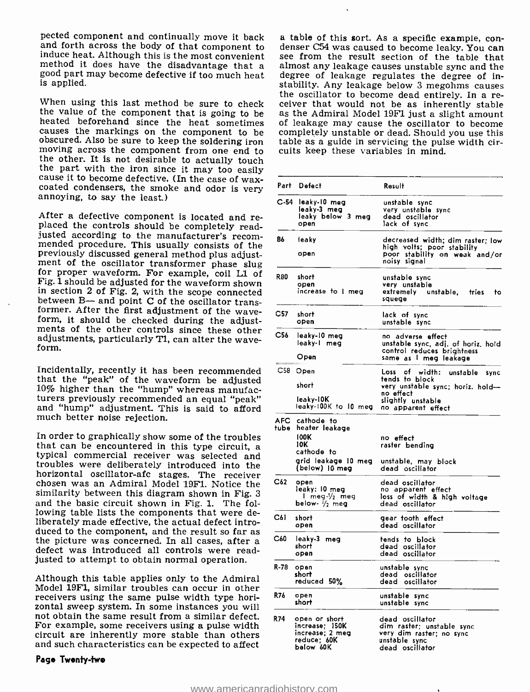pected component and continually move it back<br>a table of this sort. As a specific example, con-<br>and forth across the body of that component to<br>denser C54 was caused to become leaky. You can<br>induce heat. Although this is th is applied.

When using this last method be sure to check<br>the value of the component that is going to be<br>heated beforehand since the heat sometimes<br>causes the markings on the component to be<br>obscured. Also be sure to keep the soldering

After a defective component is located and re-<br>placed the controls should be completely read-<br>justed according to the manufacturer's recom-<br>mended procedure. This usually consists of the<br>previously discussed general method Fig. 1 should be adjusted for the waveform shown in section 2 of Fig. 2, with the scope connected between B— and point C of the oscillator transformer. After the first adjustment of the wave-<br>form, it should be checked during the adjust-<br>ments of the other controls since these other<br>adjustments, particularly TI, can al

Incidentally, recently it has been recommended that the "peak" of the waveform be adjusted 10% higher than the "hump" whereas manufac-<br>turers previously recommended an equal "peak" and "hump" adjustment. This is said to afford much better noise rejection.

In order to graphically show some of the troubles that can be encountered in this type circuit, a typical commercial receiver was selected and troubles were deliberately introduced into the horizontal oscillator-afc stages. The receiver chosen was an Admiral Model 19F1. Notice the similarity between this diagram shown in Fig. <sup>3</sup> and the basic circuit shown in Fig. 1. The following table lists the components that were deliberately made effective, the actual defect introduced to the component, and the result so far as the picture was concerned. In all cases, after a defect was introduced all controls were readjusted to attempt to obtain normal operation.

Although this table applies only to the Admiral Model 19F1, similar troubles can occur in other receivers using the same pulse width type horizontal sweep system. In some instances you will not obtain the same result from a similar defect. For example, some receivers using a pulse width circuit are inherently more stable than others and such characteristics can be expected to affect

#### Page Twenfy -two

see from the result section of the table that almost any leakage causes unstable sync and the degree of leakage regulates the degree of inthe oscillator to become dead entirely. In a receiver that would not be as inherently stable as the Admiral Model 19F1 just a slight amount of leakage may cause the oscillator to become completely unstable or dead. Should you use this table as a guide in servicing the pulse width circuits keep these variables in mind.

| Part | Defect                                                                                                      | Result                                                                                                          |
|------|-------------------------------------------------------------------------------------------------------------|-----------------------------------------------------------------------------------------------------------------|
|      | C-54 leaky-10 meg<br>leaky-3 meg<br>leaky below 3 meg<br>open                                               | unstable sync<br>very unstable sync<br>dead oscillator<br>lack of sync                                          |
| 86   | leaky<br>open                                                                                               | decreased width; dim raster; low<br>high volts; poor stability<br>poor stability on weak and/or<br>noisy signal |
| R80  | short<br>open<br>increase to I meg                                                                          | unstable sync<br>very unstable<br>extremely unstable, tries<br>to<br>squege                                     |
| C57. | short<br>open                                                                                               | lack of sync<br>unstable sync                                                                                   |
| C56  | leaky-10 meg<br>leaky-1 meg<br>Open                                                                         | no adverse effect<br>unstable sync, adj. of horiz, hold<br>control reduces brightness<br>same as I meg leakage  |
|      | C58 Open                                                                                                    | of<br>Loss<br>width:<br>unstable<br>sync                                                                        |
|      | short                                                                                                       | tends to block<br>very unstable sync: horiz. hold-                                                              |
|      | leaky-10K<br>leaky-100K to 10 meg no apparent effect                                                        | no effect<br>slightly unstable                                                                                  |
|      | AFC cathode to<br>tube heater leakage<br>100K<br>10K<br>cathode to<br>grid leakage 10 meg<br>(below) 10 meg | no effect<br>raster bending<br>unstable, may block<br>dead oscillator                                           |
| C62  | open<br>leaky: 10 meg<br>l meg-½ <b>m</b> eg<br>below- $\frac{1}{2}$ mea                                    | dead oscillator<br>no apparent effect<br>loss of width & high voltage<br>dead oscillator                        |
| C61  | short<br>open                                                                                               | gear tooth effect<br>dead oscillator                                                                            |
| C60  | leaky-3 meg<br>short<br>open                                                                                | tends to block<br>dead oscillator<br>dead oscillator                                                            |
| R-78 | open<br>short<br>reduced 50%                                                                                | unstable sync<br>dead oscillator<br>dead oscillator                                                             |
| R76  | open<br>short                                                                                               | unstable sync<br>unstable sync                                                                                  |
| R74  | open or short<br>increase; 150K<br>increase; 2 meg<br>reduce: 60K<br>below 60K                              | dead oscillator<br>dim raster; unstable sync<br>very dim raster; no sync<br>unstable sync<br>dead oscillator    |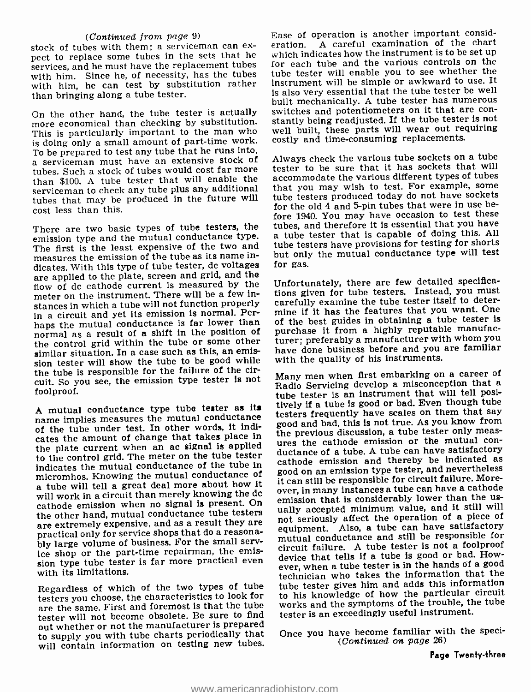#### (Continued from page 9)

stock of tubes with them; a serviceman can ex-<br>nect to replace some tubes in the sets that he which in services, and he must have the replacement tubes with him. Since he, of necessity, has the tubes with him, he can test by substitution rather than bringing along a tube tester.

This is particularly important to the man who is doing only a small amount of part-time work.<br>To be prepared to test any tube that he runs into, a serviceman must have an extensive stock of tubes. Such a stock of tubes would cost far more than \$100. A tube tester that will enable the serviceman to check any tube plus any additional that you may wish to test. For example, some<br>tubes that may be produced in the future will tube testers produced today do not have sockets tubes that may be produced in the future will cost less than this.

emission type and the mutual conductance type.<br>The first is the least expensive of the two and measures the emission of the tube as its name indicates. With this type of tube tester, dc voltages are applied to the plate, screen and grid, and the flow of dc cathode current is measured by the meter on the instrument. There will be a few instances in which a tube will not function properly in a circuit and yet its emission is normal. Perhaps the mutual conductance is far lower than normal as a result of a shift in the position of the control grid within the tube or some other similar situation. In a case such as this, an emission tester will show the tube to be good while the tube is responsible for the failure of the circuit. So you see, the emission type tester is not foolproof.

of the tube under test. In other words, it indicates the amount of change that takes place in the previous discussion, a tube tester only fieasthe plate current when an ac signal is applied to the control grid. The meter on the tube tester<br>indicates the mutual conductance of the tube in<br>mission and thereby be indicated as<br>mission type tester, and nevertheless indicates the mutual conductance of the tube in a tube will tell a great deal more about how it will work in a circuit than merely knowing the dc over, in many instances a tube can have a cathode<br>emission when no signal is present. On emission that is considerably lower than the us-<br>cathode emission when a conductor cathode emission when no signal is present. On the other hand, mutual conductance tube testers are extremely expensive, and as a result they are practical only for service shops that do a reasona-<br>bly large volume of business. For the small service shop or the part-time repairman, the emission type tube tester is far more practical even with its limitations.

Regardless of which of the two types of tube testers you choose, the characteristics to look for are the same. First and foremost is that the tube tester will not become obsolete. Be sure to find out whether or not the manufacturer is prepared to supply you with tube charts periodically that will contain information on testing new tubes.

On the other hand, the tube tester is actually switches and potentiometers on it that are con-<br>more economical than checking by substitution. stantly being readjusted. If the tube tester is not Ease of operation is another important consid-A careful examination of the chart which indicates how the instrument is to be set up for each tube and the various controls on the tube tester will enable you to see whether the instrument will be simple or awkward to use. It is also very essential that the tube tester be well built mechanically. A tube tester has numerous well built, these parts will wear out requiring costly and time -consuming replacements.

There are two basic types of tube testers, the tubes, and therefore it is essential that you have Always check the various tube sockets on a tube tester to be sure that it has sockets that will accommodate the various different types of tubes that you may wish to test. For example, some for the old 4 and 5-pin tubes that were in use before 1940. You may have occasion to test these a tube tester that is capable of doing this. All tube testers have provisions for testing for shorts but only the mutual conductance type will test for gas.

> Unfortunately, there are few detailed specifications given for tube testers. Instead, you must carefully examine the tube tester itself to determine if it has the features that you want. One of the best guides in obtaining a tube tester is purchase it from a highly reputable manufacturer; preferably a manufacturer with whom you have done business before and you are familiar with the quality of his instruments.

A mutual conductance type tube tester as its uvery in a tube is good on call. The measures the mutual conductance testers frequently have scales on them that say of the tube under test. In other words, it indi-<br>of the tub Many men when first embarking on a career of Radio Servicing develop a misconception that a tube tester is an instrument that will tell positively if a tube is good or bad. Even though tube testers frequently have scales on them that say good and bad, this is not true. As you know from ductance of a tube. A tube can have satisfactory cathode emission and thereby be indicated as it can still be responsible for circuit failure. Moreover, in many instances a tube can have a cathode emission that is considerably lower than the usnot seriously affect the operation of a piece of equipment. Also, a tube can have satisfactory mutual conductance and still be responsible for circuit failure. A tube tester is not a foolproof device that tells if a tube is good or bad. However, when a tube tester is in the hands of a good technician who takes the information that the tube tester gives him and adds this information to his knowledge of how the particular circuit works and the symptoms of the trouble, the tube tester is an exceedingly useful instrument.

> Once you have become familiar with the speci- (Continued on page 26)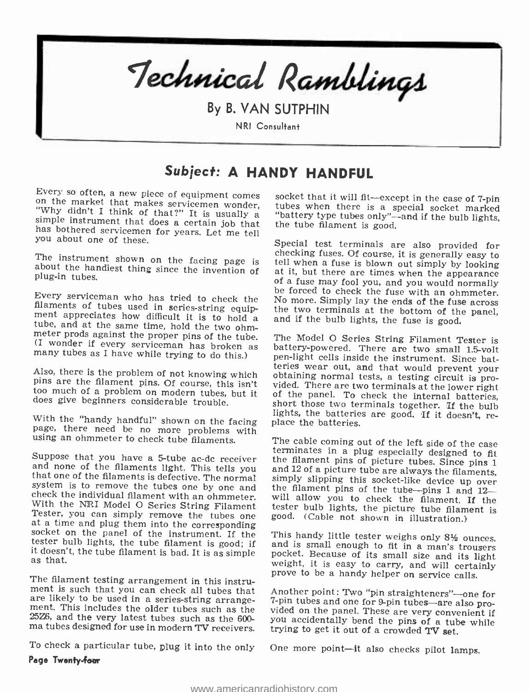

By B. VAN SUTPHIN NRI Consultant

# Subject: A HANDY HANDFUL

Every so often, a new piece of equipment comes<br>on the market that makes servicemen wonder,<br>"Why didn't I think of that?" It is usually a<br>simple instrument that does a certain job that<br>has bothered servicemen for years. Let

The instrument shown on the facing page is about the handiest thing since the invention of plug-in tubes.

Every serviceman who has tried to check the be forced to check the fuse with an ohmmeter.<br>
filaments of tubes used in series-string equip-<br>
meta pyreciates how difficult it is to hold a and if the bulb lights, the fuse is

too much of a problem on modern tubes, but it does give beginners considerable trouble.

With the "handy handful" shown on the facing page, there need be no more problems with using an ohmmeter to check tube filaments.

system is to remove the tubes one by one and<br>check the individual filament with an ohmmeter.<br>With the NRI Model O Series String Filament<br>Tester, you can simply remove the tubes one<br>at a time and plug them into the correspo

The filament testing arrangement in this instrument is such that you can check all tubes that Another point: Two "pin straighteners"-one for are likely to be used in a series-string arrange-<br>ment. This includes the older tubes such as the vided on the panel. These are very convenient if<br>25Z6, and the very latest tubes such as the 600-<br>wou accidentally bend the

To check a particular tube, plug it into the only

Page Twenty-four

socket that it will fit—except in the case of 7-pin tubes when there is a special socket marked "battery type tubes only"—and if the bulb lights, the tube filament is good.

Special test terminals are also provided for<br>checking fuses. Of course, it is generally easy to<br>tell when a fuse is blown out simply by looking<br>at it, but there are times when the appearance<br>of a fuse may fool you, and you the two terminals at the bottom of the panel,

Also, there is the problem of not knowing which<br>pins are the filament pins. Of course, this isn't<br>wided. There are two terminals at the lower right<br>too much of a problem on modern tubes, but it<br>of the panel. To check the i battery-powered. There are two small 1.5-volt short those two terminals together. If the bulb<br>lights, the batteries are good. If it doesn't, re-<br>place the batteries.

Suppose that you have a 5-tube ac-dc receiver the filament pins of picture tubes. Since pins 1 and none of the filaments light. This tells you and 12 of a picture tube are always the filaments, that one of the filaments is The cable coming out of the left side of the case<br>terminates in a plug especially designed to fit<br>the filament pins of picture tubes. Since pins 1<br>and 12 of a picture tube are always the filaments,<br>simply slipping this so

This handy little tester weighs only  $8\frac{1}{2}$  ounces,<br>and is small enough to fit in a man's trousers<br>pocket. Because of its small size and its light<br>weight, it is easy to carry, and will certainly<br>prove to be a handy hel

ma tubes designed for use in modern TV receivers. trying to get it out of a crowded TV set. 7-pin tubes and one for 9-pin tubes are also proyou accidentally bend the pins of a tube while

One more point-it also checks pilot lamps.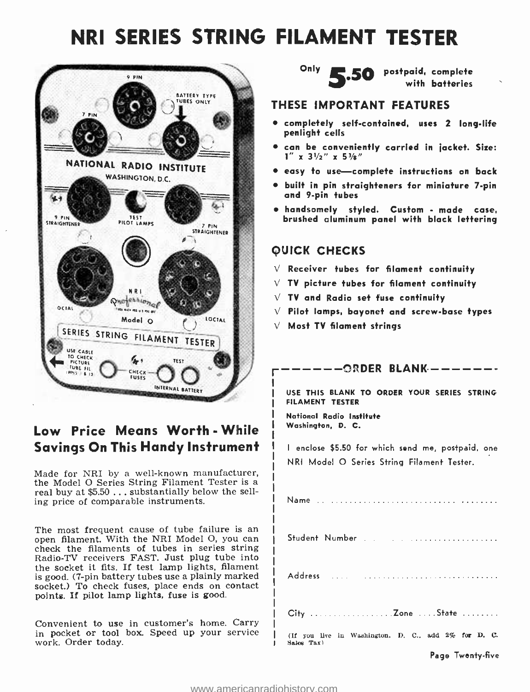# NRI SERIES STRING FILAMENT TESTER



# Low Price Means Worth - While Savings On This Handy Instrument

Made for NRI by a well-known manufacturer,<br>the Model O Series String Filament Tester is a real buy at \$5.50 ... substantially below the selling price of comparable instruments.

The most frequent cause of tube failure is an open filament. With the NRI Model O, you can check the filaments of tubes in series string Radio-TV receivers FAST. Just plug tube into the socket it fits. If test lamp lights, filament is good. (7 -pin battery tubes use a plainly marked socket.) To check fuses, place ends on contact points. If pilot lamp lights, fuse is good.

Convenient to use in customer's home. Carry in pocket or tool box. Speed up your service work. Order today.



Only  $\sum 50$  postpaid, complete

#### THESE IMPORTANT FEATURES

- $\bullet$  completely self-contained, uses 2 long-life penlight cells
- can be conveniently carried in jacket. Size:  $1''$  x  $3\frac{1}{2}$   $\frac{1}{2}$  x  $5\frac{3}{8}$   $\frac{1}{2}$
- $\bullet$  easy to use-complete instructions on back
- built in pin straighteners for miniature 7 -pin and 9 -pin tubes
- handsomely styled. Custom made case, brushed aluminum panel with black lettering

### QUICK CHECKS

- $\sqrt{ }$  Receiver tubes for filament continuity
- $\vee$  TV picture tubes for filament continuity
- $\sqrt{ }$  TV and Radio set fuse continuity
- $\vee$  Pilot lamps, bayonet and screw-base types
- $\vee$  Most TV filament strings

 $--$ ORDER BLANK $---$ 

USE THIS BLANK TO ORDER YOUR SERIES STRING FILAMENT TESTER

National Radio Institute Washington. D. C.

I enclose \$5.50 for which send me, postpaid, one NRI Model O Series String Filament Tester.

| City Zone State                                                   |
|-------------------------------------------------------------------|
| (If you live in Washington, D. C., add 2% for D. C.<br>Salos Tax) |
| Page Twenty-five                                                  |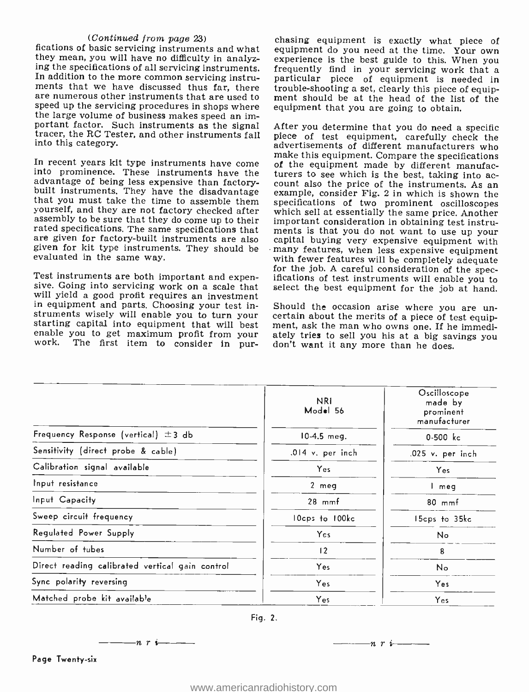(Continued from page  $23$ )<br>fications of basic servicing instruments and what<br>they mean, you will have no difficulty in analyzing the specifications of all servicing instruments. frequently find in your servicing work that a In addition to the more common servicing instru-In addition to the more common servicing instru-<br>ments that we have discussed thus far, there trouble-shooting a set, clearly this piece of equip-<br>are numerous other instruments that are used to ment should be at the head are numerous other instruments that are used to speed up the servicing procedures in shops where the large volume of business makes speed an important factor. Such instruments as the signal into this category.

yourself, and they are not factory checked after<br>assembly the same price. Another<br>assembly to be sure that they do come up to their<br>important consideration in obtaining test instrurated specifications. The same specifications that ments is that you do not want to use up your<br>are given for factory-built instruments are also capital buying very expensive equipment with are given for factory -built instruments are also given for kit type instruments. They should be evaluated in the same way.

will yield a good profit requires an investment<br>in equipment and parts. Choosing your test in-<br>Should the occasion arise where you are unin equipment and parts. Choosing your test instruments wisely will enable you to turn your certain about the merits of a piece of test equip-<br>starting capital into equipment that will best ment, ask the man who owns one. If he immedi-<br>enable you to get maximum profit work. The first item to consider in pur-

chasing equipment is exactly what piece of equipment do you need at the time. Your own experience is the best guide to this. When you trouble-shooting a set, clearly this piece of equipequipment that you are going to obtain.

portant factor. Such instruments as the signal After you determine that you do need a specific<br>tracer, the RC Tester, and other instruments fall piece of test equipment, carefully check the<br>into this category. make this equipment. Compare the specifications<br>into prominence. These instruments have come<br>into advantage of being less expensive than factory-<br>built instruments. They have the disadvantage<br>built instruments. They have t Test instruments are both important and expen-<br>sive. Going into servicing work on a scale that select the best equipment for the job at hand. piece of test equipment, carefully check the of the equipment made by different manufacturers to see which is the best, taking into acspecifications of two prominent oscilloscopes important consideration in obtaining test instruments is that you do not want to use up your capital buying very expensive equipment with with fewer features will be completely adequate<br>for the job. A careful consideration of the spec-<br>ifications of test instruments will enable you to select the best equipment for the job at hand.

certain about the merits of a piece of test equip-<br>ment, ask the man who owns one. If he immedi-<br>ately tries to sell you his at a big savings you<br>don't want it any more than he does.

|                                                 | <b>NRI</b><br>Model 56 | Oscilloscope<br>made by<br>prominent<br>manufacturer |
|-------------------------------------------------|------------------------|------------------------------------------------------|
| Frequency Response (vertical) $\pm$ 3 db        | $10-4.5$ meg.          | $0 - 500$ $k_c$                                      |
| Sensitivity (direct probe & cable)              | .014 v. per inch       | .025 v. per inch                                     |
| Calibration signal available                    | Yes                    | Yes                                                  |
| Input resistance                                | 2 meg                  | l meg                                                |
| Input Capacity                                  | $28$ mmf               | $80$ mmf                                             |
| Sweep circuit frequency                         | 10cps to 100kc         | 15cps to 35kc                                        |
| Regulated Power Supply                          | Yes                    | No                                                   |
| Number of tubes                                 | 12                     | 8                                                    |
| Direct reading calibrated vertical gain control | Yes                    | No                                                   |
| Sync polarity reversing                         | Yes                    | Yes                                                  |
| Matched probe kit available                     | Yes                    | Yes                                                  |

 $\frac{\ }{\ }$  ---- n r i---

 $-n \rightharpoonup$  i  $-$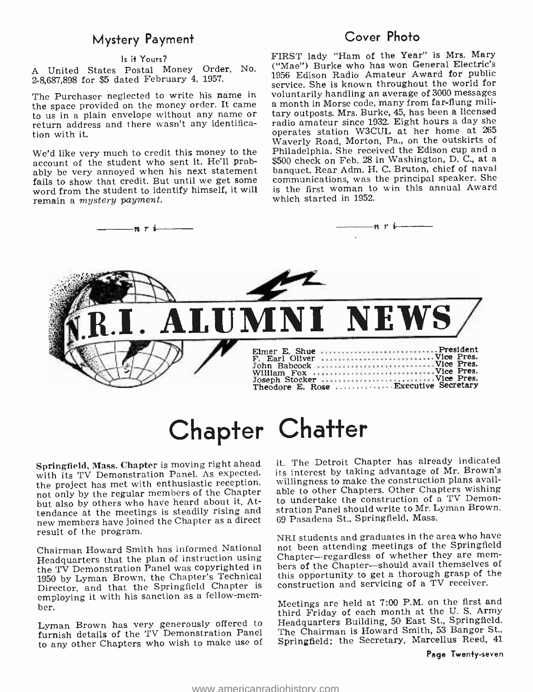### Mystery Payment

#### Is it Yours?

A United States Postal Money Order, No. 2- 8,687,898 for \$5 dated February 4, 1957.

the space provided on the money order. It came<br>to us in a plain envelope without any name or<br>return address and there wasn't any identification with it.

account of the student who sent it. He'll probably be very annoyed when his next statement banquet. Rear Adm. H. C. Bruton, chief of naval fails to show that credit. But until we get some word from the student to identify himself, it will remain a mystery payment.

### Cover Photo

The Purchaser neglected to write his name in voluntarily handling an average of 3000 messages We'd like very much to credit this money to the Philadelphia. She received the Edison cup and a account of the student who sent it. He'll prob-<br>\$500 check on Feb. 28 in Washington, D. C., at a FIRST lady "Ham of the Year" is Mrs. Mary ("Mae") Burke who has won General Electric's 1956 Edison Radio Amateur Award for public service. She is known throughout the world for a month in Morse code, many from far-flung military outposts. Mrs. Burke, 45, has been a licensed radio amateur since 1932. Eight hours a day she operates station W3CUL at her home at <sup>265</sup> Waverly Road, Morton, Pa., on the outskirts of Philadelphia. She received the Edison cup and a communications, was the principal speaker. She is the first woman to win this annual Award which started in 1952.



# Chapter Chatter

Springfield, Mass. Chapter is moving right ahead with its TV Demonstration Panel. As expected, the project has met with enthusiastic reception, not only by the regular members of the Chapter but also by others who have heard about it. Attendance at the meetings is steadily rising and new members have joined the Chapter as a direct result of the program.

Headquarters that the plan of instruction using the TV Demonstration Panel was copyrighted in <sup>1950</sup>by Lyman Brown, the Chapter's Technical Director, and that the Springfield Chapter is employing it with his sanction as a fellow -mem- ber.

Lyman Brown has very generously offered to furnish details of the TV Demonstration Panel to any other Chapters who wish to make use of

it. The Detroit Chapter has already indicated its interest by taking advantage of Mr. Brown's willingness to make the construction plans available to other Chapters. Other Chapters wishing to undertake the construction of a TV Demonstration Panel should write to Mr. Lyman Brown, 69 Pasadena St., Springfield, Mass.

Chairman Howard Smith has informed National — not been attending meetings of the Springheid<br>Headquarters that the plan of instruction using — Chapter—regardless of whether they are mem-NRI students and graduates in the area who have not been attending meetings of the Springfield bers of the Chapter-should avail themselves of this opportunity to get a thorough grasp of the construction and servicing of a TV receiver.

> Meetings are held at 7:00 P.M. on the first and third Friday of each month at the U. S. Army Headquarters Building, 50 East St., Springfield. The Chairman is Howard Smith, 53 Bangor St., Springfield; the Secretary, Marcellus Reed, <sup>41</sup>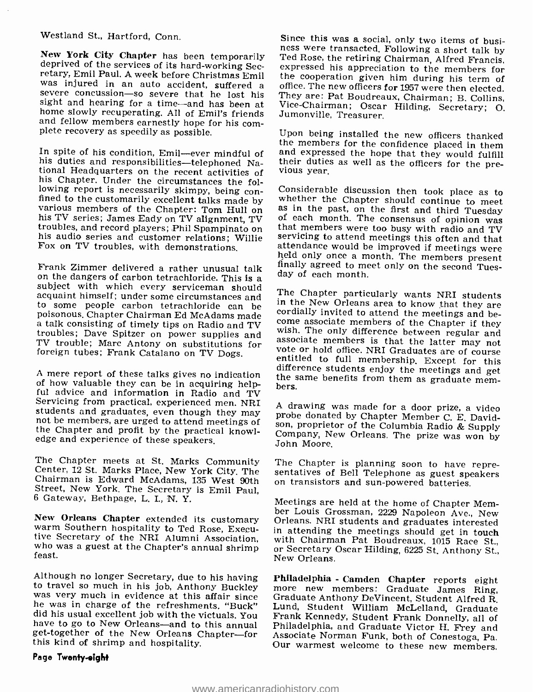#### Westland St., Hartford, Conn.

New York City Chapter has been temporarily<br>deprived of the services of its hard-working Sec-<br>retary, Emil Paul. A week before Christmas Emil<br>was injured in an auto accident, suffered a<br>severe concussion—so severe that he l

In spite of his condition, Emil—ever mindful of<br>his duties and responsibilities—telephoned Na-<br>tional Headquarters on the recent activities of<br>his Chapter. Under the circumstances the fol-<br>his Chapter. Under the circumstan

Frank Zimmer delivered a rather unusual talk on the dangers of carbon tetrachloride. This is a subject with which every serviceman should acquaint himself; under some circumstances and acquaint himself; under some circumst to some people carbon tetrachloride can be <sup>In the</sup> New Orleans area to know that they are poisonous. Chapter Chairman Ed McAdams made cordially invited to attend the meetings and bea talk consisting of timely tips on Radio and TV come associate members of the Chapter if they troubles; Dave Spitzer on power supplies and associate members is that the latter may not TV troubles. More Antony on substitut TV trouble; Marc Antony on substitutions for foreign tubes; Frank Catalano on TV Dogs.

ful advice and information in Radio and TV<br>Servicing from practical, experienced men. NRI<br>students and graduates, even though they may<br>not be members, are urged to attend meetings of<br>the Chapter and profit by the practical

The Chapter meets at St. Marks Community Center, 12 St. Marks Place, New York City. The Chairman is Edward McAdams, 135 West 90th Street, New York. The Secretary is Emil Paul, 6 Gateway, Bethpage, L. I., N. Y.

New Orleans Chapter extended its customary warm Southern hospitality to Ted Rose, Executive Secretary of the NRI Alumni Association, who was a guest at the Chapter's annual shrimp feast.

Although no longer Secretary, due to his having Philadelphia - Camden Chapter reports eight to travel so much in his job, Anthony Buckley more new members: Graduate James Ring, was very much in evidence at this affair sinc did his usual excellent job with the victuals. You<br>have to go to New Orleans—and to this annual Philadelphia, and Graduate Victor H. Frey and<br>get-together of the New Orleans Chapter—for Associate Norman Funk, both of Cones get-together of the New Orleans Chapter-for this kind of shrimp and hospitality.

#### Page Tweniy -eight

Since this was a social, only two items of business were transacted. Following a short talk by Ted Rose, the retiring Chairman, Alfred Francis, expressed his appreciation to the members for the cooperation given him during

Upon being installed the new officers thanked the members for the confidence placed in them and expressed the hope that they would fulfill their duties as well as the officers for the pre- vious year.

Considerable discussion then took place as to<br>whether the Chapter should continue to meet<br>as in the past, on the first and third Tuesday<br>of each month. The consensus of opinion was<br>that members were too busy with radio and

A mere report of these talks gives no indication<br>of how valuable they can be in acquiring help-<br>hers<br>hers form them as graduate memcome associate members of the Chapter if they<br>wish. The only difference between regular and<br>associate members is that the latter may not<br>vote or hold office. NRI Graduates are of course<br>entitled to full membership. Except

> A drawing was made for a door prize, a video probe donated by Chapter Member C. E. Davidson, proprietor of the Columbia Radio & Supply Company, New Orleans. The prize was won by John Moore.

> The Chapter is planning soon to have repre- sentatives of Bell Telephone as guest speakers on transistors and sun -powered batteries.

Meetings are held at the home of Chapter Mem- ber Louis Grossman, 2229 Napoleon Ave., New Orleans. NRI students and graduates interested in attending the meetings should get in touch with Chairman Pat Boudreaux, 1015 Race St., or Secretary Oscar Hilding, 6225 St. Anthony St., New Orleans.

Frank Kennedy, Student Frank Donnelly, all of Our warmest welcome to these new members.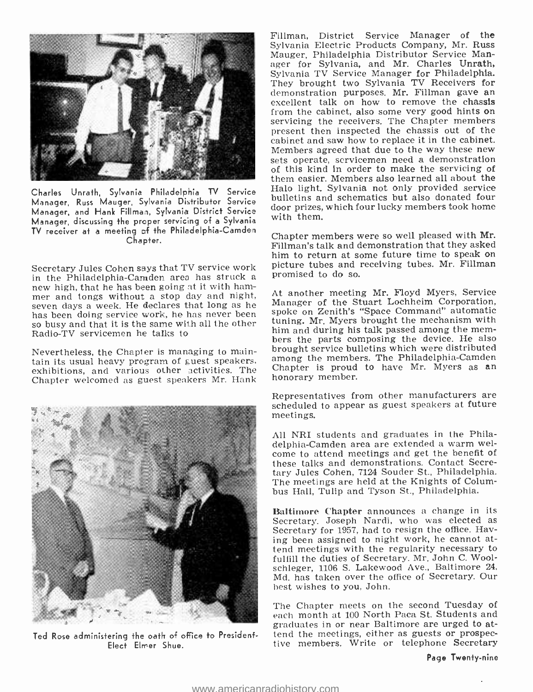

Charles Unrath, Sylvania Philadelphia TV Service Manager, Russ Mauger, Sylvania Distributor Service Manager, and Hank Fillman, Sylvania District Service Manager, discussing the proper servicing of a Sylvania TV receiver at a meeting of the Philadelphia- Camden Chapter.

new high, that he has been going at it with ham-<br>mer and tongs without a stop day and night, seven days a week. He declares that long as he has been doing service work, he has never been spoke on Zenith's "Space Command" automatic<br>so busy and that it is the same with all the other that it is the same with all the same with all the same wit<br>him and during his t Radio-TV servicemen he talks to.

Nevertheless, the Chapter is managing to maintain its usual heavy program of guest speakers, exhibitions, and various other activities. The Chapter is proud<br>Chapter welcomed as guest speakers Mr. Hank honorary member. Chapter welcomed as guest speakers Mr. Hank



Ted Rose administering the oath of office to President-Elect Elmer Shue.

Fillman, District Service Manager of the Sylvania Electric Products Company, Mr. Russ Mauger, Philadelphia Distributor Service Manager for Sylvania, and Mr. Charles Unrath, Sylvania TV Service Manager for Philadelphia. They brought two Sylvania TV Receivers for demonstration purposes. Mr. Fillman gave an excellent talk on how to remove the chassis<br>from the cabinet, also some very good hints on servicing the receivers. The Chapter members present then inspected the chassis out of the cabinet and saw how to replace it in the cabinet. sets operate, servicemen need a demonstration of this kind in order to make the servicing of them easier. Members also learned all about the Halo light. Sylvania not only provided service bulletins and schematics but also donated four door prizes, which four lucky members took home with them.

Secretary Jules Cohen says that TV service work picture tubes and receiving tubes. Mr. Fillman<br>in the Philadelphia-Camden area has struck a promised to do so. Chapter members were so well pleased with Mr. Fillman's talk and demonstration that they asked him to return at some future time to speak on promised to do so.

> At another meeting Mr. Floyd Myers, Service Manager of the Stuart Lochheim Corporation, spoke on Zenith's "Space Command" automatic tuning. Mr. Myers brought the mechanism with hers the parts composing the device. He also brought service bulletins which were distributed among the members. The Philadelphia-Camden Chapter is proud to have Mr. Myers as an

> Representatives from other manufacturers are scheduled to appear as guest speakers at future meetings.

> All NRI students and graduates in the Phila-<br>delphia-Camden area are extended a warm welcome to attend meetings and get the benefit of these talks and demonstrations. Contact Secretary Jules Cohen, 7124 Souder St., Philadelphia. The meetings are held at the Knights of Columbus Hall, Tulip and Tyson St., Philadelphia.

> Baltimore Chapter announces a change in its<br>Secretary, Joseph Nardi, who was elected as Secretary for 1957, had to resign the office. Having been assigned to night work, he cannot attend meetings with the regularity necessary to schleger, 1106 S. Lakewood Ave., Baltimore 24, Md. has taken over the office of Secretary. Our best wishes to you, John.

> The Chapter meets on the second Tuesday of each month at 100 North Paca St. Students and graduates in or near Baltimore are urged to attend the meetings, either as guests or prospective members. Write or telephone Secretary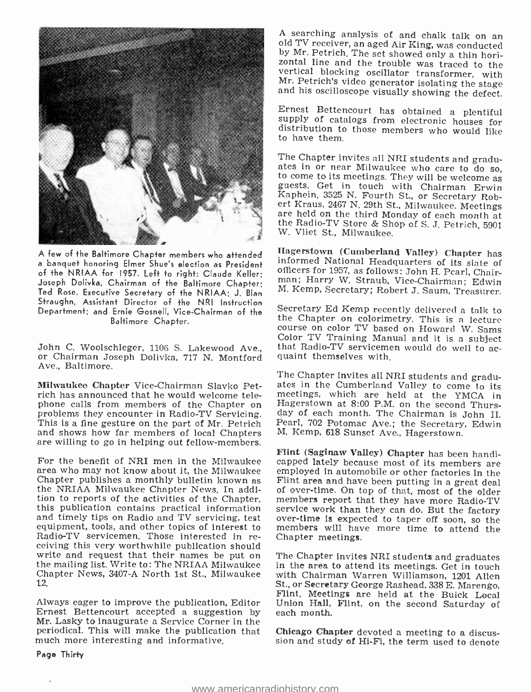

A few of the Baltimore Chapter members who attended <sup>a</sup>banquet honoring Elmer Shue's election as President of the NRIAA for 1957. Left to right: Claude Keller; Joseph Dolivka, Chairman of the Baltimore Chapter; Ted Rose, Executive Secretary of the NRIAA; J. Blan Straughn, Assistant Director of the NRI Instruction<br>Department: and Ernie Gosnell Vice Chairman of the Secretary Ed Kemp recently delivered a talk to Department; and Ernie Gosnell, Vice-Chairman of the Baltimore Chapter.

Ave., Baltimore.

Milwaukee Chapter Vice-Chairman Slavko Petrich has announced that he would welcome tele-<br>phone calls from members of the Chapter on rich has announced that he would welcome tele-<br>phone calls from members of the Chapter on Hagerstown at 8:00 P.M. on the second Thurs-<br>problems they encounter in Radio-TV Servicing. day of each month. The Chairman is John and shows how far members of local Chapters are willing to go in helping out fellow-members.

For the benefit of NRI men in the Milwaukee capped lately because most of its members are area who may not know about it, the Milwaukee employed in automobile or other factories in the area who may not know about it, the Milwaukee — employed in automobile or other factories in the<br>Chapter-publishes a monthly bulletin known as — Flint area and have been putting in a great deal the NRIAA Milwaukee Chapter News. In addition to reports of the activities of the Chapter, members report that they have more Radio-TV this publication contains practical information service work than they can do. But the factory and timely tips on Radio and TV servicing, test over-time is expected to taper off soon, so the equipment, tools, and other topics of interest to members will have more time to attend the equipment, tools, and other topics of interest to members will have Radio-TV servicemen. Those interested in re-Radio-TV servicemen. Those interested in re-<br>ceiving this very worthwhile publication should<br>write and request that their names be put on The Chapter invites NRI students and graduates write and request that their names be put on The Chapter invites NRI students and graduates the mailing list. Write to: The NRIAA Milwaukee in the area to attend its meetings. Get in touch 12.

Always eager to improve the publication, Editor Ernest Bettencourt accepted a suggestion by Mr. Lasky to inaugurate a Service Corner in the periodical. This will make the publication that much more interesting and informative.

Page Thirty

A searching analysis of and chalk talk on an<br>old TV receiver, an aged Air King, was conducted<br>by Mr. Petrich. The set showed only a thin hori-<br>zontal line and the trouble was traced to the<br>zontal line and the trouble was t

Ernest Bettencourt has obtained a plentiful supply of catalogs from electronic houses for distribution to those members who would like to have them.

The Chapter invites all NRI students and graduates in or near Milwaukee who care to do so, to come to its meetings. They will be welcome as guests. Get in touch with Chairman Erwin Kaphein, 3525 N. Fourth St., or Secretary W. Vliet St., Milwaukee.

Hagerstown (Cumberland Valley) Chapter has informed National Headquarters of its slate of man; Harry W. Straub, Vice-Chairman; Edwin M. Kemp, Secretary; Robert J. Saum, Treasurer.

Color TV Training Manual and it is a subject<br>John C. Woolschleger, 1106 S. Lakewood Ave., that Radio-TV servicemen would do well to ac-<br>or Chairman Joseph Dolivka, 717 N. Montford quaint themselves with. the Chapter on colorimetry. This is a lecture<br>course on color TV based on Howard W. Sams

> The Chapter invites all NRI students and graduates in the Cumberland Valley to come to its meetings, which are held at the YMCA ingerstown at 8:00 P.M. on the second Thursday of each month. The Chairman is John II. M. Kemp, 618 Sunset Ave., Hagerstown.

> Flint (Saginaw Valley) Chapter has been handiof over-time. On top of that, most of the older

Chapter News, 3407-A North 1st St., Milwaukee with Chairman Warren Williamson, 1201 Allen<br>12. St., or Secretary George Rashead, 338 E. Marengo, with Chairman Warren Williamson, 1201 Allen Flint. Meetings are held at the Buick Local Union Hall, Flint, on the second Saturday of each month.

> Chicago Chapter devoted a meeting to a discussion and study of Hi-Fi, the term used to denote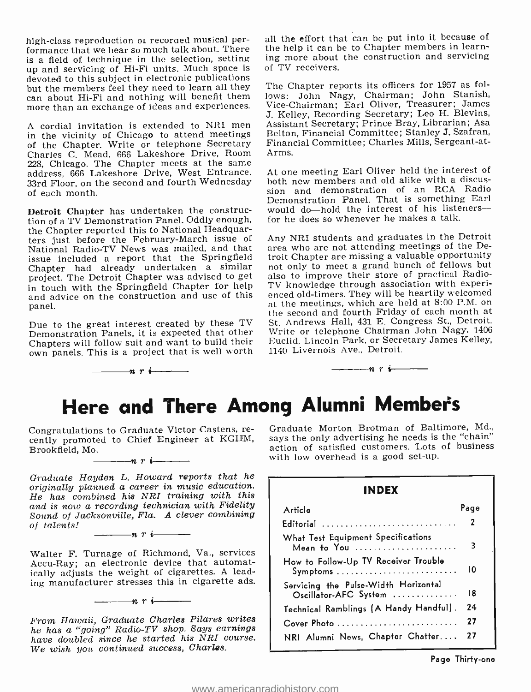high -class reproduction or recoraed musical performance that we hear so much talk about. There is a field of technique in the selection, setting up and servicing of Hi-Fi units. Much space is devoted to this subject in electronic publications<br>but the members feel they need to learn all they can about Hi-Fi and nothing will benefit them<br>more than an exchange of ideas and experiences.

<sup>A</sup>cordial invitation is extended to NRI men in the vicinity of Chicago to attend meetings of the Chapter. Write or telephone Secretary Charles C. Mead, 666 Lakeshore Drive, Room address, 666 Lakeshore Drive, West Entrance, 33rd Floor, on the second and fourth Wednesday of each month.

Detroit Chapter has undertaken the construction of a TV Demonstration Panel. Oddly enough, the Chapter reported this to National Headquarters just before the February -March issue of National Radio-TV News was mailed, and that issue included a report that the Springfield Chapter had already undertaken a similar – not only to meet a grand bunch of fellows but<br>project. The Detroit Chapter was advised to get – also to improve their store of practical Radioproject. The Detroit Chapter was advised to get in touch with the Springfield Chapter for help and advice on the construction and use of this enced old-timers. They will be heartily welcomed<br>namel. panel.

Due to the great interest created by these TV Demonstration Panels, it is expected that other Chapters will follow suit and want to build their own panels. This is a project that is well worth

 $\frac{1}{\sqrt{1-\frac{1}{n}}}\left\vert \frac{1}{n}+1\right\vert$ 

all the effort that can be put into it because of the help it can be to Chapter members in learning more about the construction and servicing of TV receivers.

The Chapter reports its officers for 1957 as follows: John Nagy, Chairman; John Stanish, Vice -Chairman; Earl Oliver, Treasurer; James J. Kelley, Recording Secretary; Leo H. Blevins, Assistant Secretary; Prince Bray, Librarian; Asa Belton, Financial Committee; Stanley J. Szafran, Financial Committee; Charles Mills, Sergeant -at-Arms.

At one meeting Earl Oliver held the interest of both new members and old alike with a discussion and demonstration of an RCA Radio Demonstration Panel. That is something Earl would do-hold the interest of his listenersfor he does so whenever he makes a talk.

Any NRI students and graduates in the Detroit area who are not attending meetings of the Detroit Chapter are missing a valuable opportunity not only to meet a grand bunch of fellows but TV knowledge through association with experienced old-timers. They will be heartily welcomed the second and fourth Friday of each month at St. Andrews Hall, 431 E. Congress St., Detroit. Write or telephone Chairman John Nagy, 1406 Euclid, Lincoln Park, or Secretary James Kelley, 1140 Livernois Ave., Detroit.

# Here and There Among Alumni Member's

Congratulations to Graduate Victor Castens, re- cently promoted to Chief Engineer at KGHM, Brookfield, Mo.  $\frac{1}{\sqrt{n}}$   $\frac{n}{1}$ 

Graduate Hayden L. Howard reports that he originally planned a career in music education. He has combined his NEI training with this and is now a recording technician with Fidelity Sound of Jacksonville, Fla. A clever combining<br>of talents!

 $\frac{\ }{n}$  r i  $\frac{\ }{n}$ 

Walter F. Turnage of Richmond, Va., services Accu-Ray; an electronic device that automatically adjusts the weight of cigarettes. A leading manufacturer stresses this in cigarette ads.

 $-\cdots$ n r i $\cdots$ 

From Hawaii, Graduate Charles Pilares writes he has a "going" Radio -TV shop. Says earnings have doubled since he started his NRI course.<br>We wish you continued success, Charles.

Graduate Morton Brotman of Baltimore, Md., says the only advertising he needs is the "chain" action of satisfied customers. Lots of business with low overhead is a good set-up.

 $n r$  i

### INDEX

| Article                                                       | Page |
|---------------------------------------------------------------|------|
| Editorial                                                     | 2    |
| What Test Equipment Specifications<br>Mean to You             | 3    |
| How to Follow-Up TV Receiver Trouble                          | 10   |
| Servicing the Pulse-Width Horizontal<br>Oscillator-AFC System | 18   |
| Technical Ramblings (A Handy Handful).                        | 24   |
| Cover Photo                                                   | 27   |
| NRI Alumni News, Chapter Chatter                              | 27   |